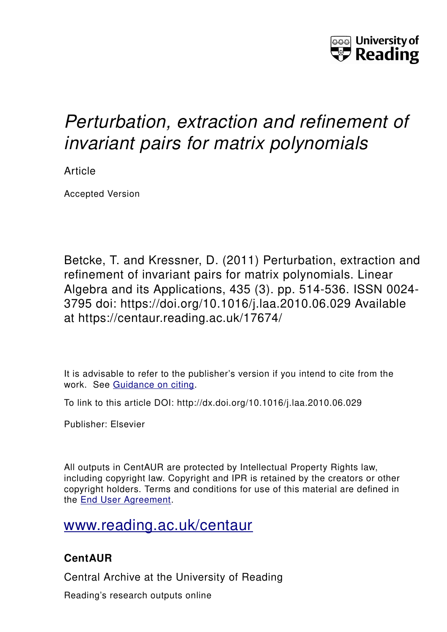

# *Perturbation, extraction and refinement of invariant pairs for matrix polynomials*

Article

Accepted Version

Betcke, T. and Kressner, D. (2011) Perturbation, extraction and refinement of invariant pairs for matrix polynomials. Linear Algebra and its Applications, 435 (3). pp. 514-536. ISSN 0024- 3795 doi: https://doi.org/10.1016/j.laa.2010.06.029 Available at https://centaur.reading.ac.uk/17674/

It is advisable to refer to the publisher's version if you intend to cite from the work. See [Guidance on citing.](http://centaur.reading.ac.uk/71187/10/CentAUR%20citing%20guide.pdf)

To link to this article DOI: http://dx.doi.org/10.1016/j.laa.2010.06.029

Publisher: Elsevier

All outputs in CentAUR are protected by Intellectual Property Rights law, including copyright law. Copyright and IPR is retained by the creators or other copyright holders. Terms and conditions for use of this material are defined in the [End User Agreement.](http://centaur.reading.ac.uk/licence)

## [www.reading.ac.uk/centaur](http://www.reading.ac.uk/centaur)

## **CentAUR**

Central Archive at the University of Reading

Reading's research outputs online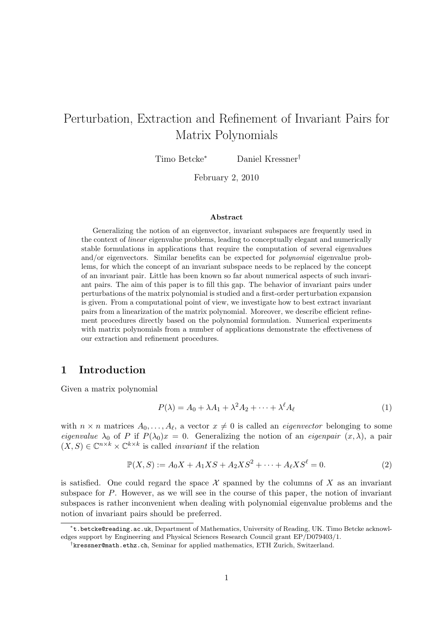## Perturbation, Extraction and Refinement of Invariant Pairs for Matrix Polynomials

Timo Betcke<sup>∗</sup> Daniel Kressner†

February 2, 2010

#### Abstract

Generalizing the notion of an eigenvector, invariant subspaces are frequently used in the context of *linear* eigenvalue problems, leading to conceptually elegant and numerically stable formulations in applications that require the computation of several eigenvalues and/or eigenvectors. Similar benefits can be expected for *polynomial* eigenvalue problems, for which the concept of an invariant subspace needs to be replaced by the concept of an invariant pair. Little has been known so far about numerical aspects of such invariant pairs. The aim of this paper is to fill this gap. The behavior of invariant pairs under perturbations of the matrix polynomial is studied and a first-order perturbation expansion is given. From a computational point of view, we investigate how to best extract invariant pairs from a linearization of the matrix polynomial. Moreover, we describe efficient refinement procedures directly based on the polynomial formulation. Numerical experiments with matrix polynomials from a number of applications demonstrate the effectiveness of our extraction and refinement procedures.

### 1 Introduction

Given a matrix polynomial

$$
P(\lambda) = A_0 + \lambda A_1 + \lambda^2 A_2 + \dots + \lambda^\ell A_\ell \tag{1}
$$

with  $n \times n$  matrices  $A_0, \ldots, A_\ell$ , a vector  $x \neq 0$  is called an *eigenvector* belonging to some *eigenvalue*  $\lambda_0$  of P if  $P(\lambda_0)x = 0$ . Generalizing the notion of an *eigenpair*  $(x, \lambda)$ , a pair  $(X, S) \in \mathbb{C}^{n \times k} \times \mathbb{C}^{k \times k}$  is called *invariant* if the relation

$$
\mathbb{P}(X, S) := A_0 X + A_1 X S + A_2 X S^2 + \dots + A_\ell X S^\ell = 0.
$$
 (2)

is satisfied. One could regard the space  $\mathcal X$  spanned by the columns of X as an invariant subspace for  $P$ . However, as we will see in the course of this paper, the notion of invariant subspaces is rather inconvenient when dealing with polynomial eigenvalue problems and the notion of invariant pairs should be preferred.

<sup>∗</sup> t.betcke@reading.ac.uk, Department of Mathematics, University of Reading, UK. Timo Betcke acknowledges support by Engineering and Physical Sciences Research Council grant EP/D079403/1.

<sup>†</sup> kressner@math.ethz.ch, Seminar for applied mathematics, ETH Zurich, Switzerland.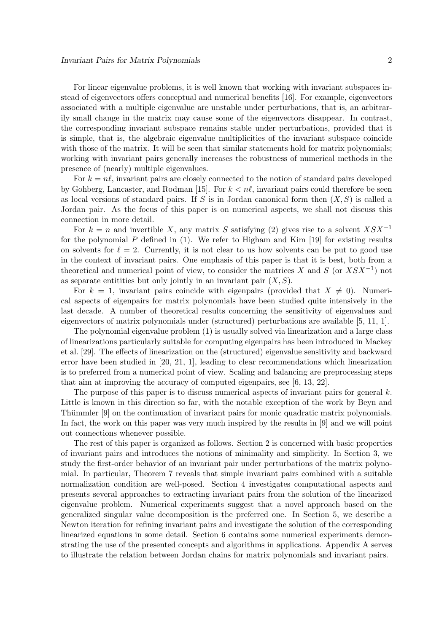For linear eigenvalue problems, it is well known that working with invariant subspaces instead of eigenvectors offers conceptual and numerical benefits [16]. For example, eigenvectors associated with a multiple eigenvalue are unstable under perturbations, that is, an arbitrarily small change in the matrix may cause some of the eigenvectors disappear. In contrast, the corresponding invariant subspace remains stable under perturbations, provided that it is simple, that is, the algebraic eigenvalue multiplicities of the invariant subspace coincide with those of the matrix. It will be seen that similar statements hold for matrix polynomials; working with invariant pairs generally increases the robustness of numerical methods in the presence of (nearly) multiple eigenvalues.

For  $k = n\ell$ , invariant pairs are closely connected to the notion of standard pairs developed by Gohberg, Lancaster, and Rodman [15]. For  $k < n\ell$ , invariant pairs could therefore be seen as local versions of standard pairs. If S is in Jordan canonical form then  $(X, S)$  is called a Jordan pair. As the focus of this paper is on numerical aspects, we shall not discuss this connection in more detail.

For  $k = n$  and invertible X, any matrix S satisfying (2) gives rise to a solvent  $X S X^{-1}$ for the polynomial P defined in  $(1)$ . We refer to Higham and Kim [19] for existing results on solvents for  $\ell = 2$ . Currently, it is not clear to us how solvents can be put to good use in the context of invariant pairs. One emphasis of this paper is that it is best, both from a theoretical and numerical point of view, to consider the matrices X and S (or  $X S X^{-1}$ ) not as separate entitities but only jointly in an invariant pair  $(X, S)$ .

For  $k = 1$ , invariant pairs coincide with eigenpairs (provided that  $X \neq 0$ ). Numerical aspects of eigenpairs for matrix polynomials have been studied quite intensively in the last decade. A number of theoretical results concerning the sensitivity of eigenvalues and eigenvectors of matrix polynomials under (structured) perturbations are available [5, 11, 1].

The polynomial eigenvalue problem (1) is usually solved via linearization and a large class of linearizations particularly suitable for computing eigenpairs has been introduced in Mackey et al. [29]. The effects of linearization on the (structured) eigenvalue sensitivity and backward error have been studied in [20, 21, 1], leading to clear recommendations which linearization is to preferred from a numerical point of view. Scaling and balancing are preprocessing steps that aim at improving the accuracy of computed eigenpairs, see [6, 13, 22].

The purpose of this paper is to discuss numerical aspects of invariant pairs for general  $k$ . Little is known in this direction so far, with the notable exception of the work by Beyn and Thümmler [9] on the continuation of invariant pairs for monic quadratic matrix polynomials. In fact, the work on this paper was very much inspired by the results in [9] and we will point out connections whenever possible.

The rest of this paper is organized as follows. Section 2 is concerned with basic properties of invariant pairs and introduces the notions of minimality and simplicity. In Section 3, we study the first-order behavior of an invariant pair under perturbations of the matrix polynomial. In particular, Theorem 7 reveals that simple invariant pairs combined with a suitable normalization condition are well-posed. Section 4 investigates computational aspects and presents several approaches to extracting invariant pairs from the solution of the linearized eigenvalue problem. Numerical experiments suggest that a novel approach based on the generalized singular value decomposition is the preferred one. In Section 5, we describe a Newton iteration for refining invariant pairs and investigate the solution of the corresponding linearized equations in some detail. Section 6 contains some numerical experiments demonstrating the use of the presented concepts and algorithms in applications. Appendix A serves to illustrate the relation between Jordan chains for matrix polynomials and invariant pairs.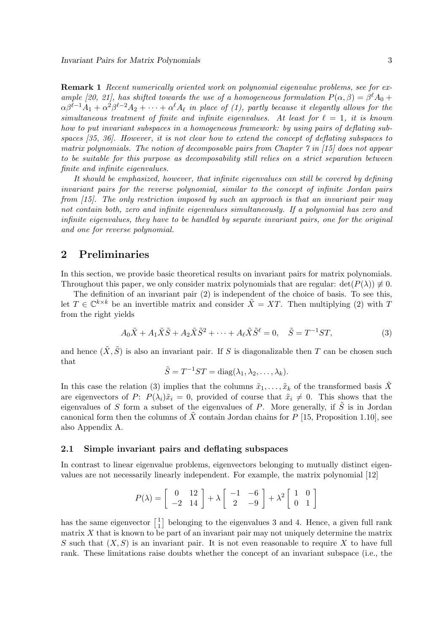Remark 1 *Recent numerically oriented work on polynomial eigenvalue problems, see for example [20, 21], has shifted towards the use of a homogeneous formulation*  $P(\alpha, \beta) = \beta^{\ell} A_0 +$  $\alpha\beta^{\ell-1}A_1+\alpha^2\beta^{\ell-2}A_2+\cdots+\alpha^\ell A_\ell$  in place of (1), partly because it elegantly allows for the *simultaneous treatment of finite and infinite eigenvalues. At least for*  $\ell = 1$ , *it is known how to put invariant subspaces in a homogeneous framework: by using pairs of deflating subspaces [35, 36]. However, it is not clear how to extend the concept of deflating subspaces to matrix polynomials. The notion of decomposable pairs from Chapter 7 in [15] does not appear to be suitable for this purpose as decomposability still relies on a strict separation between finite and infinite eigenvalues.*

*It should be emphasized, however, that infinite eigenvalues can still be covered by defining invariant pairs for the reverse polynomial, similar to the concept of infinite Jordan pairs from [15]. The only restriction imposed by such an approach is that an invariant pair may not contain both, zero and infinite eigenvalues simultaneously. If a polynomial has zero and infinite eigenvalues, they have to be handled by separate invariant pairs, one for the original and one for reverse polynomial.*

## 2 Preliminaries

In this section, we provide basic theoretical results on invariant pairs for matrix polynomials. Throughout this paper, we only consider matrix polynomials that are regular:  $det(P(\lambda)) \neq 0$ .

The definition of an invariant pair (2) is independent of the choice of basis. To see this, let  $T \in \mathbb{C}^{k \times k}$  be an invertible matrix and consider  $\tilde{X} = XT$ . Then multiplying (2) with T from the right yields

$$
A_0\tilde{X} + A_1\tilde{X}\tilde{S} + A_2\tilde{X}\tilde{S}^2 + \dots + A_\ell\tilde{X}\tilde{S}^\ell = 0, \quad \tilde{S} = T^{-1}ST,\tag{3}
$$

and hence  $(\tilde{X}, \tilde{S})$  is also an invariant pair. If S is diagonalizable then T can be chosen such that

$$
\tilde{S} = T^{-1}ST = \text{diag}(\lambda_1, \lambda_2, \dots, \lambda_k).
$$

In this case the relation (3) implies that the columns  $\tilde{x}_1, \ldots, \tilde{x}_k$  of the transformed basis  $\tilde{X}$ are eigenvectors of P:  $P(\lambda_i)\tilde{x}_i=0$ , provided of course that  $\tilde{x}_i\neq 0$ . This shows that the eigenvalues of S form a subset of the eigenvalues of P. More generally, if  $\tilde{S}$  is in Jordan canonical form then the columns of X contain Jordan chains for  $P$  [15, Proposition 1.10], see also Appendix A.

#### 2.1 Simple invariant pairs and deflating subspaces

In contrast to linear eigenvalue problems, eigenvectors belonging to mutually distinct eigenvalues are not necessarily linearly independent. For example, the matrix polynomial [12]

$$
P(\lambda) = \begin{bmatrix} 0 & 12 \\ -2 & 14 \end{bmatrix} + \lambda \begin{bmatrix} -1 & -6 \\ 2 & -9 \end{bmatrix} + \lambda^2 \begin{bmatrix} 1 & 0 \\ 0 & 1 \end{bmatrix}
$$

has the same eigenvector  $\begin{bmatrix} 1 \\ 1 \end{bmatrix}$  $\begin{bmatrix} 1 \\ 1 \end{bmatrix}$  belonging to the eigenvalues 3 and 4. Hence, a given full rank matrix  $X$  that is known to be part of an invariant pair may not uniquely determine the matrix S such that  $(X, S)$  is an invariant pair. It is not even reasonable to require X to have full rank. These limitations raise doubts whether the concept of an invariant subspace (i.e., the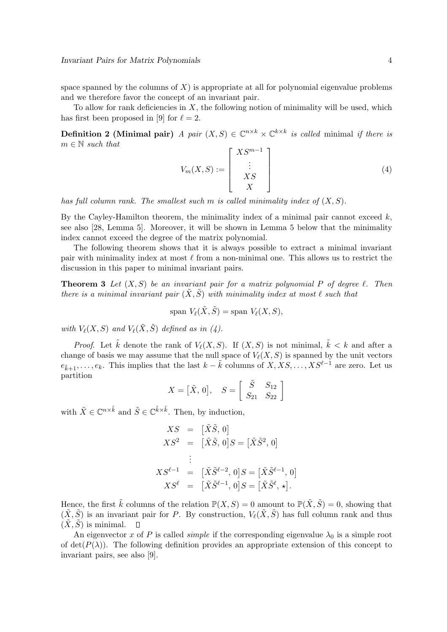space spanned by the columns of  $X$ ) is appropriate at all for polynomial eigenvalue problems and we therefore favor the concept of an invariant pair.

To allow for rank deficiencies in  $X$ , the following notion of minimality will be used, which has first been proposed in [9] for  $\ell = 2$ .

**Definition 2 (Minimal pair)** *A pair*  $(X, S) \in \mathbb{C}^{n \times k} \times \mathbb{C}^{k \times k}$  *is called* minimal *if there is* m ∈ N *such that*

$$
V_m(X, S) := \begin{bmatrix} X S^{m-1} \\ \vdots \\ X S \\ X \end{bmatrix}
$$
 (4)

*has full column rank. The smallest such* m *is called minimality index of* (X, S)*.*

By the Cayley-Hamilton theorem, the minimality index of a minimal pair cannot exceed  $k$ , see also [28, Lemma 5]. Moreover, it will be shown in Lemma 5 below that the minimality index cannot exceed the degree of the matrix polynomial.

The following theorem shows that it is always possible to extract a minimal invariant pair with minimality index at most  $\ell$  from a non-minimal one. This allows us to restrict the discussion in this paper to minimal invariant pairs.

Theorem 3 *Let* (X, S) *be an invariant pair for a matrix polynomial* P *of degree* ℓ*. Then there is a minimal invariant pair*  $(\tilde{X}, \tilde{S})$  *with minimality index at most*  $\ell$  *such that* 

$$
\text{span } V_{\ell}(\tilde{X}, \tilde{S}) = \text{span } V_{\ell}(X, S),
$$

*with*  $V_{\ell}(X, S)$  *and*  $V_{\ell}(\tilde{X}, \tilde{S})$  *defined as in (4).* 

*Proof.* Let  $\tilde{k}$  denote the rank of  $V_{\ell}(X, S)$ . If  $(X, S)$  is not minimal,  $\tilde{k} \leq k$  and after a change of basis we may assume that the null space of  $V_{\ell}(X, S)$  is spanned by the unit vectors  $e_{\tilde{k}+1}, \ldots, e_k$ . This implies that the last  $k - \tilde{k}$  columns of  $X, XS, \ldots, XS^{\ell-1}$  are zero. Let us partition

$$
X = \begin{bmatrix} \tilde{X}, 0 \end{bmatrix}, \quad S = \begin{bmatrix} \tilde{S} & S_{12} \\ S_{21} & S_{22} \end{bmatrix}
$$

with  $\tilde{X} \in \mathbb{C}^{n \times \tilde{k}}$  and  $\tilde{S} \in \mathbb{C}^{\tilde{k} \times \tilde{k}}$ . Then, by induction,

$$
XS = [\tilde{X}\tilde{S}, 0]
$$
  
\n
$$
XS^{2} = [\tilde{X}\tilde{S}, 0]S = [\tilde{X}\tilde{S}^{2}, 0]
$$
  
\n:  
\n
$$
XS^{\ell-1} = [\tilde{X}\tilde{S}^{\ell-2}, 0]S = [\tilde{X}\tilde{S}^{\ell-1}, 0]
$$
  
\n
$$
XS^{\ell} = [\tilde{X}\tilde{S}^{\ell-1}, 0]S = [\tilde{X}\tilde{S}^{\ell}, \star].
$$

Hence, the first  $\tilde{k}$  columns of the relation  $\mathbb{P}(X, S) = 0$  amount to  $\mathbb{P}(\tilde{X}, \tilde{S}) = 0$ , showing that  $(\tilde{X}, \tilde{S})$  is an invariant pair for P. By construction,  $V_{\ell}(\tilde{X}, \tilde{S})$  has full column rank and thus  $(\tilde{X}, \tilde{S})$  is minimal.  $\Box$ 

An eigenvector x of P is called *simple* if the corresponding eigenvalue  $\lambda_0$  is a simple root of det( $P(\lambda)$ ). The following definition provides an appropriate extension of this concept to invariant pairs, see also [9].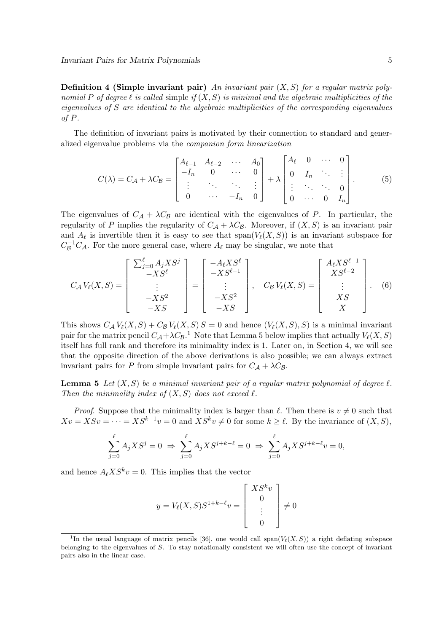**Definition 4 (Simple invariant pair)** An invariant pair  $(X, S)$  for a regular matrix poly*nomial* P of degree  $\ell$  is called simple if  $(X, S)$  is minimal and the algebraic multiplicities of the *eigenvalues of* S *are identical to the algebraic multiplicities of the corresponding eigenvalues of* P*.*

The definition of invariant pairs is motivated by their connection to standard and generalized eigenvalue problems via the *companion form linearization*

$$
C(\lambda) = C_{\mathcal{A}} + \lambda C_{\mathcal{B}} = \begin{bmatrix} A_{\ell-1} & A_{\ell-2} & \cdots & A_0 \\ -I_n & 0 & \cdots & 0 \\ \vdots & \ddots & \ddots & \vdots \\ 0 & \cdots & -I_n & 0 \end{bmatrix} + \lambda \begin{bmatrix} A_{\ell} & 0 & \cdots & 0 \\ 0 & I_n & \ddots & \vdots \\ \vdots & \ddots & \ddots & 0 \\ 0 & \cdots & 0 & I_n \end{bmatrix} .
$$
 (5)

The eigenvalues of  $C_A + \lambda C_B$  are identical with the eigenvalues of P. In particular, the regularity of P implies the regularity of  $C_A + \lambda C_B$ . Moreover, if  $(X, S)$  is an invariant pair and  $A_{\ell}$  is invertible then it is easy to see that  $span(V_{\ell}(X, S))$  is an invariant subspace for  $C^{-1}_{\mathcal{B}}C_{\mathcal{A}}$ . For the more general case, where  $A_{\ell}$  may be singular, we note that

$$
C_A V_{\ell}(X, S) = \begin{bmatrix} \sum_{j=0}^{\ell} A_j X S^j \\ -X S^{\ell} \\ \vdots \\ -X S^2 \\ -X S \end{bmatrix} = \begin{bmatrix} -A_{\ell} X S^{\ell} \\ -X S^{\ell-1} \\ \vdots \\ -X S^2 \\ -X S \end{bmatrix}, \quad C_B V_{\ell}(X, S) = \begin{bmatrix} A_{\ell} X S^{\ell-1} \\ X S^{\ell-2} \\ \vdots \\ X S \\ X \end{bmatrix}.
$$
 (6)

This shows  $C_A V_{\ell}(X, S) + C_B V_{\ell}(X, S) S = 0$  and hence  $(V_{\ell}(X, S), S)$  is a minimal invariant pair for the matrix pencil  $C_A + \lambda C_B$ .<sup>1</sup> Note that Lemma 5 below implies that actually  $V_{\ell}(X, S)$ itself has full rank and therefore its minimality index is 1. Later on, in Section 4, we will see that the opposite direction of the above derivations is also possible; we can always extract invariant pairs for P from simple invariant pairs for  $C_A + \lambda C_B$ .

**Lemma 5** Let  $(X, S)$  be a minimal invariant pair of a regular matrix polynomial of degree  $\ell$ . *Then the minimality index of*  $(X, S)$  *does not exceed*  $\ell$ *.* 

*Proof.* Suppose that the minimality index is larger than  $\ell$ . Then there is  $v \neq 0$  such that  $Xv = XSv = \cdots = XS^{k-1}v = 0$  and  $XS^kv \neq 0$  for some  $k \geq \ell$ . By the invariance of  $(X, S)$ ,

$$
\sum_{j=0}^{\ell} A_j X S^j = 0 \implies \sum_{j=0}^{\ell} A_j X S^{j+k-\ell} = 0 \implies \sum_{j=0}^{\ell} A_j X S^{j+k-\ell} v = 0,
$$

and hence  $A_{\ell} X S^{k} v = 0$ . This implies that the vector

$$
y = V_{\ell}(X, S)S^{1+k-\ell}v = \begin{bmatrix} XS^k v \\ 0 \\ \vdots \\ 0 \end{bmatrix} \neq 0
$$

<sup>&</sup>lt;sup>1</sup>In the usual language of matrix pencils [36], one would call span( $V_{\ell}(X, S)$ ) a right deflating subspace belonging to the eigenvalues of S. To stay notationally consistent we will often use the concept of invariant pairs also in the linear case.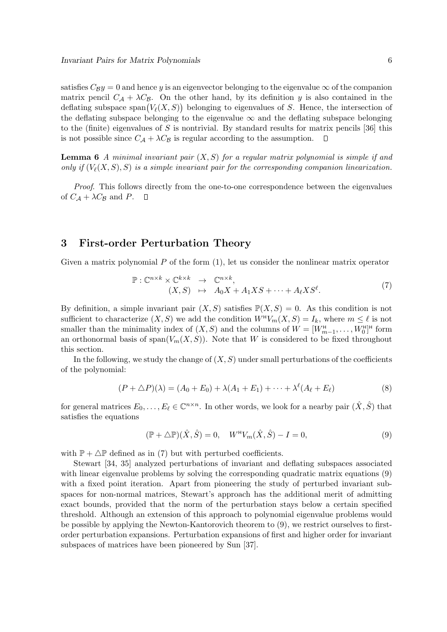satisfies  $C_{\mathcal{B}}y = 0$  and hence y is an eigenvector belonging to the eigenvalue  $\infty$  of the companion matrix pencil  $C_A + \lambda C_B$ . On the other hand, by its definition y is also contained in the deflating subspace span $(V_{\ell}(X, S))$  belonging to eigenvalues of S. Hence, the intersection of the deflating subspace belonging to the eigenvalue  $\infty$  and the deflating subspace belonging to the (finite) eigenvalues of S is nontrivial. By standard results for matrix pencils  $[36]$  this is not possible since  $C_A + \lambda C_B$  is regular according to the assumption.  $\Box$ 

Lemma 6 *A minimal invariant pair* (X, S) *for a regular matrix polynomial is simple if and only if*  $(V_{\ell}(X, S), S)$  *is a simple invariant pair for the corresponding companion linearization.* 

*Proof*. This follows directly from the one-to-one correspondence between the eigenvalues of  $C_A + \lambda C_B$  and P.  $\Box$ 

## 3 First-order Perturbation Theory

Given a matrix polynomial  $P$  of the form  $(1)$ , let us consider the nonlinear matrix operator

$$
\mathbb{P}: \mathbb{C}^{n \times k} \times \mathbb{C}^{k \times k} \rightarrow \mathbb{C}^{n \times k},
$$
  
\n
$$
(X, S) \mapsto A_0 X + A_1 X S + \dots + A_\ell X S^\ell.
$$
\n(7)

By definition, a simple invariant pair  $(X, S)$  satisfies  $\mathbb{P}(X, S) = 0$ . As this condition is not sufficient to characterize  $(X, S)$  we add the condition  $W^H V_m(X, S) = I_k$ , where  $m \leq \ell$  is not smaller than the minimality index of  $(X, S)$  and the columns of  $W = [W^{\text{H}}_{m-1}, \ldots, W^{\text{H}}_{0}]^{\text{H}}$  form an orthonormal basis of span $(V_m(X, S))$ . Note that W is considered to be fixed throughout this section.

In the following, we study the change of  $(X, S)$  under small perturbations of the coefficients of the polynomial:

$$
(P + \Delta P)(\lambda) = (A_0 + E_0) + \lambda(A_1 + E_1) + \dots + \lambda^{\ell}(A_{\ell} + E_{\ell})
$$
\n(8)

for general matrices  $E_0, \ldots, E_\ell \in \mathbb{C}^{n \times n}$ . In other words, we look for a nearby pair  $(\hat{X}, \hat{S})$  that satisfies the equations

$$
(\mathbb{P} + \Delta \mathbb{P})(\hat{X}, \hat{S}) = 0, \quad W^{\mathsf{H}} V_m(\hat{X}, \hat{S}) - I = 0,
$$
\n(9)

with  $\mathbb{P} + \Delta \mathbb{P}$  defined as in (7) but with perturbed coefficients.

Stewart [34, 35] analyzed perturbations of invariant and deflating subspaces associated with linear eigenvalue problems by solving the corresponding quadratic matrix equations (9) with a fixed point iteration. Apart from pioneering the study of perturbed invariant subspaces for non-normal matrices, Stewart's approach has the additional merit of admitting exact bounds, provided that the norm of the perturbation stays below a certain specified threshold. Although an extension of this approach to polynomial eigenvalue problems would be possible by applying the Newton-Kantorovich theorem to (9), we restrict ourselves to firstorder perturbation expansions. Perturbation expansions of first and higher order for invariant subspaces of matrices have been pioneered by Sun [37].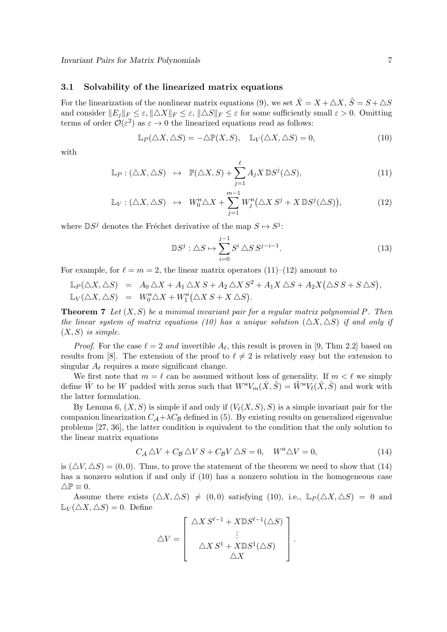#### 3.1 Solvability of the linearized matrix equations

For the linearization of the nonlinear matrix equations (9), we set  $\hat{X} = X + \triangle X$ ,  $\hat{S} = S + \triangle S$ and consider  $||E_j||_F \leq \varepsilon$ ,  $||\Delta X||_F \leq \varepsilon$ ,  $||\Delta S||_F \leq \varepsilon$  for some sufficiently small  $\varepsilon > 0$ . Omitting terms of order  $\mathcal{O}(\varepsilon^2)$  as  $\varepsilon \to 0$  the linearized equations read as follows:

$$
\mathbb{L}_P(\triangle X, \triangle S) = -\triangle \mathbb{P}(X, S), \quad \mathbb{L}_V(\triangle X, \triangle S) = 0,
$$
\n(10)

with

$$
\mathbb{L}_P: (\triangle X, \triangle S) \quad \mapsto \quad \mathbb{P}(\triangle X, S) + \sum_{j=1}^{\ell} A_j X \, \mathbb{D}S^j(\triangle S), \tag{11}
$$

$$
\mathbb{L}_V: (\triangle X, \triangle S) \ \mapsto \ W_0^{\mathsf{H}} \triangle X + \sum_{j=1}^{m-1} W_j^{\mathsf{H}} (\triangle X \ S^j + X \ \mathbb{D} S^j(\triangle S)), \tag{12}
$$

where  $\mathbb{D}S^j$  denotes the Fréchet derivative of the map  $S \mapsto S^j$ :

$$
\mathbb{D}S^j : \triangle S \mapsto \sum_{i=0}^{j-1} S^i \triangle S S^{j-i-1}.
$$
 (13)

For example, for  $\ell = m = 2$ , the linear matrix operators (11)–(12) amount to

$$
\mathbb{L}_P(\triangle X, \triangle S) = A_0 \triangle X + A_1 \triangle X S + A_2 \triangle X S^2 + A_1 X \triangle S + A_2 X (\triangle S S + S \triangle S),
$$
  

$$
\mathbb{L}_V(\triangle X, \triangle S) = W_0^{\mathsf{H}} \triangle X + W_1^{\mathsf{H}}(\triangle X S + X \triangle S).
$$

Theorem 7 *Let* (X, S) *be a minimal invariant pair for a regular matrix polynomial* P*. Then the linear system of matrix equations (10) has a unique solution*  $(\triangle X, \triangle S)$  *if and only if*  $(X, S)$  *is simple.* 

*Proof.* For the case  $\ell = 2$  and invertible  $A_{\ell}$ , this result is proven in [9, Thm 2.2] based on results from [8]. The extension of the proof to  $\ell \neq 2$  is relatively easy but the extension to singular  $A_{\ell}$  requires a more significant change.

We first note that  $m = \ell$  can be assumed without loss of generality. If  $m < \ell$  we simply define  $\tilde{W}$  to be W padded with zeros such that  $W^{\mu}V_m(\hat{X}, \hat{S}) = \tilde{W}^{\mu}V_{\ell}(\hat{X}, \hat{S})$  and work with the latter formulation.

By Lemma 6,  $(X, S)$  is simple if and only if  $(V_{\ell}(X, S), S)$  is a simple invariant pair for the companion linearization  $C_A + \lambda C_B$  defined in (5). By existing results on generalized eigenvalue problems [27, 36], the latter condition is equivalent to the condition that the only solution to the linear matrix equations

$$
C_{\mathcal{A}} \triangle V + C_{\mathcal{B}} \triangle V S + C_{\mathcal{B}} V \triangle S = 0, \quad W^{\mathsf{H}} \triangle V = 0,
$$
\n(14)

is  $(\Delta V, \Delta S) = (0, 0)$ . Thus, to prove the statement of the theorem we need to show that (14) has a nonzero solution if and only if (10) has a nonzero solution in the homogeneous case  $\triangle \mathbb{P} \equiv 0.$ 

Assume there exists  $(\triangle X, \triangle S) \neq (0, 0)$  satisfying (10), i.e.,  $\mathbb{L}_P(\triangle X, \triangle S) = 0$  and  $\mathbb{L}_V(\triangle X, \triangle S) = 0$ . Define

$$
\triangle V = \begin{bmatrix} \triangle X S^{\ell-1} + X \mathbb{D} S^{\ell-1}(\triangle S) \\ \vdots \\ \triangle X S^1 + X \mathbb{D} S^1(\triangle S) \\ \triangle X \end{bmatrix}.
$$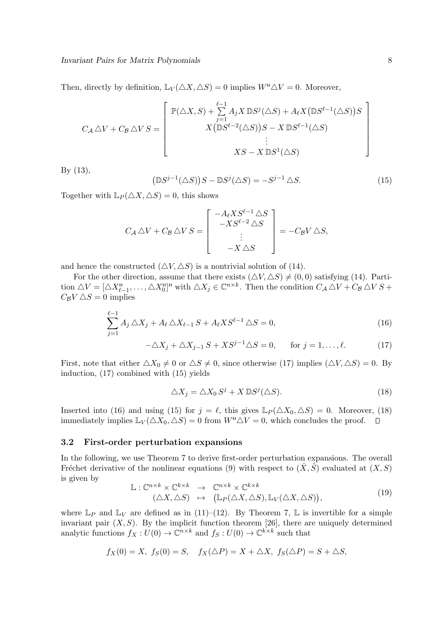Then, directly by definition,  $\mathbb{L}_V(\triangle X, \triangle S) = 0$  implies  $W^{\mathsf{H}} \triangle V = 0$ . Moreover,

$$
C_{\mathcal{A}} \triangle V + C_{\mathcal{B}} \triangle V S = \begin{bmatrix} \mathbb{P}(\triangle X, S) + \sum_{j=1}^{\ell-1} A_j X \mathbb{D} S^j (\triangle S) + A_{\ell} X (\mathbb{D} S^{\ell-1} (\triangle S)) S \\ X (\mathbb{D} S^{\ell-2} (\triangle S)) S - X \mathbb{D} S^{\ell-1} (\triangle S) \\ \vdots \\ X S - X \mathbb{D} S^1 (\triangle S) \end{bmatrix}
$$

By (13),

$$
(\mathbb{D}S^{j-1}(\triangle S))S - \mathbb{D}S^{j}(\triangle S) = -S^{j-1}\triangle S.
$$
\n(15)

Together with  $\mathbb{L}_P(\triangle X, \triangle S) = 0$ , this shows

$$
C_{\mathcal{A}} \triangle V + C_{\mathcal{B}} \triangle V S = \begin{bmatrix} -A_{\ell} X S^{\ell-1} \triangle S \\ -X S^{\ell-2} \triangle S \\ \vdots \\ -X \triangle S \end{bmatrix} = -C_{\mathcal{B}} V \triangle S,
$$

and hence the constructed  $(\triangle V, \triangle S)$  is a nontrivial solution of (14).

For the other direction, assume that there exists  $(\triangle V, \triangle S) \neq (0, 0)$  satisfying (14). Partition  $\triangle V = [\triangle X_{\ell-1}^{\mathsf{H}}, \ldots, \triangle X_0^{\mathsf{H}}]^{\mathsf{H}}$  with  $\triangle X_j \in \mathbb{C}^{n \times k}$ . Then the condition  $C_{\mathcal{A}} \triangle V + C_{\mathcal{B}} \triangle V S +$  $C_{\mathcal{B}}V\triangle S=0$  implies

$$
\sum_{j=1}^{\ell-1} A_j \triangle X_j + A_\ell \triangle X_{\ell-1} S + A_\ell X S^{\ell-1} \triangle S = 0,
$$
\n(16)

$$
-\Delta X_j + \Delta X_{j-1} S + X S^{j-1} \Delta S = 0, \quad \text{for } j = 1, \dots, \ell.
$$
 (17)

First, note that either  $\Delta X_0 \neq 0$  or  $\Delta S \neq 0$ , since otherwise (17) implies  $(\Delta V, \Delta S) = 0$ . By induction, (17) combined with (15) yields

$$
\triangle X_j = \triangle X_0 S^j + X \mathbb{D} S^j (\triangle S).
$$
\n(18)

Inserted into (16) and using (15) for  $j = \ell$ , this gives  $\mathbb{L}_P(\triangle X_0, \triangle S) = 0$ . Moreover, (18) immediately implies  $\mathbb{L}_V(\Delta X_0, \Delta S) = 0$  from  $W^{\text{H}} \Delta V = 0$ , which concludes the proof.  $\hfill \Box$ 

#### 3.2 First-order perturbation expansions

In the following, we use Theorem 7 to derive first-order perturbation expansions. The overall Fréchet derivative of the nonlinear equations (9) with respect to  $(\hat{X}, \hat{S})$  evaluated at  $(X, S)$ is given by

$$
\mathbb{L}: \mathbb{C}^{n \times k} \times \mathbb{C}^{k \times k} \to \mathbb{C}^{n \times k} \times \mathbb{C}^{k \times k} (\triangle X, \triangle S) \mapsto (\mathbb{L}_P(\triangle X, \triangle S), \mathbb{L}_V(\triangle X, \triangle S)),
$$
\n(19)

where  $\mathbb{L}_P$  and  $\mathbb{L}_V$  are defined as in (11)–(12). By Theorem 7,  $\mathbb{L}$  is invertible for a simple invariant pair  $(X, S)$ . By the implicit function theorem [26], there are uniquely determined analytic functions  $f_X: U(0) \to \mathbb{C}^{n \times k}$  and  $f_S: U(0) \to \mathbb{C}^{k \times k}$  such that

$$
f_X(0) = X, \ f_S(0) = S, \quad f_X(\triangle P) = X + \triangle X, \ f_S(\triangle P) = S + \triangle S,
$$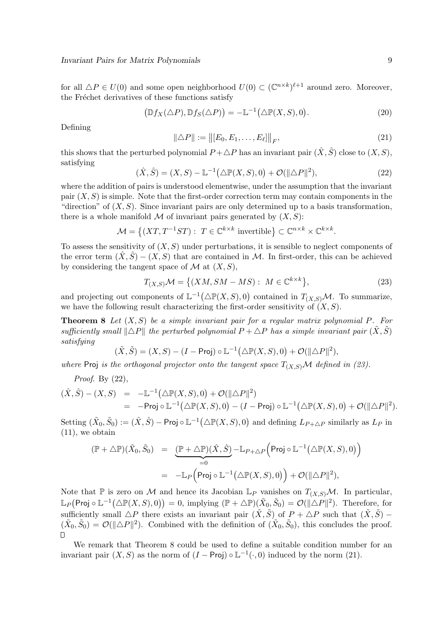for all  $\Delta P \in U(0)$  and some open neighborhood  $U(0) \subset (\mathbb{C}^{n \times k})^{\ell+1}$  around zero. Moreover, the Fréchet derivatives of these functions satisfy

$$
(\mathbb{D}f_X(\triangle P), \mathbb{D}f_S(\triangle P)) = -\mathbb{L}^{-1}(\triangle \mathbb{P}(X, S), 0). \tag{20}
$$

Defining

$$
\|\triangle P\| := \left\| [E_0, E_1, \dots, E_\ell] \right\|_F, \tag{21}
$$

this shows that the perturbed polynomial  $P + \triangle P$  has an invariant pair  $(\hat{X}, \hat{S})$  close to  $(X, S)$ , satisfying

$$
(\hat{X}, \hat{S}) = (X, S) - \mathbb{L}^{-1}(\Delta \mathbb{P}(X, S), 0) + \mathcal{O}(\|\Delta P\|^2),
$$
\n(22)

where the addition of pairs is understood elementwise, under the assumption that the invariant pair  $(X, S)$  is simple. Note that the first-order correction term may contain components in the "direction" of  $(X, S)$ . Since invariant pairs are only determined up to a basis transformation, there is a whole manifold  $M$  of invariant pairs generated by  $(X, S)$ :

$$
\mathcal{M} = \left\{ (XT, T^{-1}ST) : T \in \mathbb{C}^{k \times k} \text{ invertible} \right\} \subset \mathbb{C}^{n \times k} \times \mathbb{C}^{k \times k}.
$$

To assess the sensitivity of  $(X, S)$  under perturbations, it is sensible to neglect components of the error term  $(X, \hat{S}) - (X, S)$  that are contained in M. In first-order, this can be achieved by considering the tangent space of  $\mathcal M$  at  $(X, S)$ ,

$$
T_{(X,S)}\mathcal{M} = \{ (XM, SM - MS) : M \in \mathbb{C}^{k \times k} \},\tag{23}
$$

and projecting out components of  $L^{-1}(\Delta \mathbb{P}(X, S), 0)$  contained in  $T_{(X, S)}\mathcal{M}$ . To summarize, we have the following result characterizing the first-order sensitivity of  $(X, S)$ .

Theorem 8 *Let* (X, S) *be a simple invariant pair for a regular matrix polynomial* P*. For sufficiently small*  $\|\Delta P\|$  *the perturbed polynomial*  $P + \Delta P$  *has a simple invariant pair*  $(\tilde{X}, \tilde{S})$ *satisfying*

$$
(\tilde{X}, \tilde{S}) = (X, S) - (I - \text{Proj}) \circ \mathbb{L}^{-1}(\triangle \mathbb{P}(X, S), 0) + \mathcal{O}(\Vert \triangle P \Vert^2),
$$

*where* Proj *is the orthogonal projector onto the tangent space*  $T_{(X,S)}\mathcal{M}$  *defined in (23).* 

*Proof*. By (22),

$$
\begin{array}{rcl}\n(\hat{X},\hat{S})-(X,S) &=& -\mathbb{L}^{-1}\big(\triangle\mathbb{P}(X,S),0\big)+\mathcal{O}(\|\triangle P\|^2) \\
&=& -\mathsf{Proj}\circ\mathbb{L}^{-1}\big(\triangle\mathbb{P}(X,S),0\big)-(I-\mathsf{Proj})\circ\mathbb{L}^{-1}\big(\triangle\mathbb{P}(X,S),0\big)+\mathcal{O}(\|\triangle P\|^2).\n\end{array}
$$

Setting  $(\tilde{X}_0, \tilde{S}_0) := (\hat{X}, \hat{S}) - \mathsf{Proj} \circ \mathbb{L}^{-1}(\triangle \mathbb{P}(X, S), 0)$  and defining  $L_{P+\triangle P}$  similarly as  $L_P$  in (11), we obtain

$$
\begin{array}{rcl} (\mathbb{P}+\triangle \mathbb{P})(\tilde{X}_0,\tilde{S}_0)&=&\underbrace{(\mathbb{P}+\triangle \mathbb{P})(\hat{X},\hat{S})}_{=0}-\mathbb{L}_{P+\triangle P}\Big(\mathsf{Proj}\circ \mathbb{L}^{-1}\big(\triangle \mathbb{P}(X,S),0\big)\\&=&-\mathbb{L}_{P}\Big(\mathsf{Proj}\circ \mathbb{L}^{-1}\big(\triangle \mathbb{P}(X,S),0\big)\Big)+\mathcal{O}(\|\triangle P\|^2), \end{array}
$$

Note that  $\mathbb P$  is zero on M and hence its Jacobian  $\mathbb L_P$  vanishes on  $T(x,s)\mathcal M$ . In particular,  $\mathbb{L}_P(\mathsf{Proj} \circ \mathbb{L}^{-1}(\triangle \mathbb{P}(X,S),0)) = 0,$  implying  $(\mathbb{P} + \triangle \mathbb{P})(\tilde{X}_0, \tilde{S}_0) = \mathcal{O}(\|\triangle P\|^2)$ . Therefore, for sufficiently small  $\triangle P$  there exists an invariant pair  $(\tilde{X}, \tilde{S})$  of  $P + \triangle P$  such that  $(\tilde{X}, \tilde{S})$  –  $(\tilde{X}_0, \tilde{S}_0) = \mathcal{O}(\|\Delta P\|^2)$ . Combined with the definition of  $(\tilde{X}_0, \tilde{S}_0)$ , this concludes the proof.  $\Box$ 

We remark that Theorem 8 could be used to define a suitable condition number for an invariant pair  $(X, S)$  as the norm of  $(I - \text{Proj}) \circ \mathbb{L}^{-1}(\cdot, 0)$  induced by the norm (21).

 $\setminus$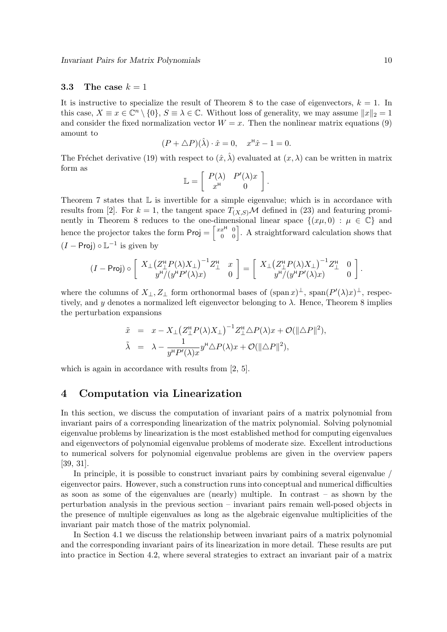#### 3.3 The case  $k = 1$

It is instructive to specialize the result of Theorem 8 to the case of eigenvectors,  $k = 1$ . In this case,  $X \equiv x \in \mathbb{C}^n \setminus \{0\}$ ,  $S \equiv \lambda \in \mathbb{C}$ . Without loss of generality, we may assume  $||x||_2 = 1$ and consider the fixed normalization vector  $W = x$ . Then the nonlinear matrix equations (9) amount to

$$
(P + \triangle P)(\hat{\lambda}) \cdot \hat{x} = 0, \quad x^{\mathsf{H}}\hat{x} - 1 = 0.
$$

The Fréchet derivative (19) with respect to  $(\hat{x}, \hat{\lambda})$  evaluated at  $(x, \lambda)$  can be written in matrix form as

$$
\mathbb{L} = \left[ \begin{array}{cc} P(\lambda) & P'(\lambda)x \\ x^{\mathsf{H}} & 0 \end{array} \right].
$$

Theorem 7 states that  $\mathbb L$  is invertible for a simple eigenvalue; which is in accordance with results from [2]. For  $k = 1$ , the tangent space  $T_{(X,S)}\mathcal{M}$  defined in (23) and featuring prominently in Theorem 8 reduces to the one-dimensional linear space  $\{(x\mu, 0) : \mu \in \mathbb{C}\}\$  and hence the projector takes the form  $\text{Proj} = \begin{bmatrix} xx^{\text{H}} \\ 0 \end{bmatrix}$  $\boldsymbol{0}$  $\boldsymbol{0}$  $\boldsymbol{0}$ i . A straightforward calculation shows that  $(I - \text{Proj}) \circ \mathbb{L}^{-1}$  is given by

$$
(I - \text{Proj}) \circ \left[ \begin{array}{cc} X_{\perp} (Z_{\perp}^{\text{H}} P(\lambda) X_{\perp})^{-1} Z_{\perp}^{\text{H}} & x \\ y^{\text{H}} / (y^{\text{H}} P'(\lambda) x) & 0 \end{array} \right] = \left[ \begin{array}{cc} X_{\perp} (Z_{\perp}^{\text{H}} P(\lambda) X_{\perp})^{-1} Z_{\perp}^{\text{H}} & 0 \\ y^{\text{H}} / (y^{\text{H}} P'(\lambda) x) & 0 \end{array} \right].
$$

where the columns of  $X_{\perp}, Z_{\perp}$  form orthonormal bases of  $(\text{span } x)^{\perp}$ ,  $\text{span}(P'(\lambda)x)^{\perp}$ , respectively, and y denotes a normalized left eigenvector belonging to  $\lambda$ . Hence, Theorem 8 implies the perturbation expansions

$$
\begin{array}{rcl} \tilde{x} & = & x - X_{\perp} \big( Z_{\perp}^{\rm H} P(\lambda) X_{\perp} \big)^{-1} Z_{\perp}^{\rm H} \triangle P(\lambda) x + \mathcal{O}(\|\triangle P\|^2), \\ \tilde{\lambda} & = & \lambda - \frac{1}{y^{\rm H} P'(\lambda) x} y^{\rm H} \triangle P(\lambda) x + \mathcal{O}(\|\triangle P\|^2), \end{array}
$$

which is again in accordance with results from [2, 5].

## 4 Computation via Linearization

In this section, we discuss the computation of invariant pairs of a matrix polynomial from invariant pairs of a corresponding linearization of the matrix polynomial. Solving polynomial eigenvalue problems by linearization is the most established method for computing eigenvalues and eigenvectors of polynomial eigenvalue problems of moderate size. Excellent introductions to numerical solvers for polynomial eigenvalue problems are given in the overview papers [39, 31].

In principle, it is possible to construct invariant pairs by combining several eigenvalue / eigenvector pairs. However, such a construction runs into conceptual and numerical difficulties as soon as some of the eigenvalues are (nearly) multiple. In contrast – as shown by the perturbation analysis in the previous section – invariant pairs remain well-posed objects in the presence of multiple eigenvalues as long as the algebraic eigenvalue multiplicities of the invariant pair match those of the matrix polynomial.

In Section 4.1 we discuss the relationship between invariant pairs of a matrix polynomial and the corresponding invariant pairs of its linearization in more detail. These results are put into practice in Section 4.2, where several strategies to extract an invariant pair of a matrix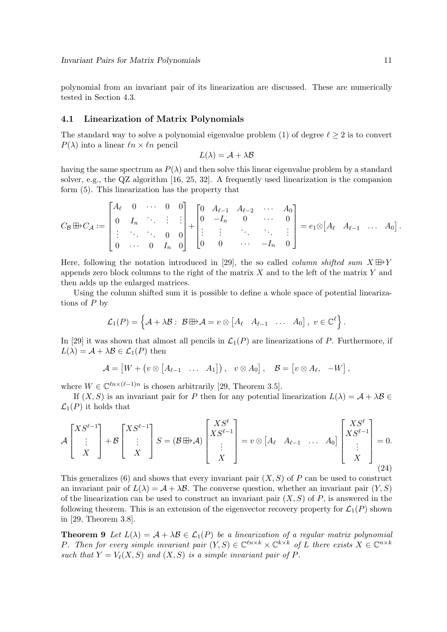polynomial from an invariant pair of its linearization are discussed. These are numerically tested in Section 4.3.

#### 4.1 Linearization of Matrix Polynomials

The standard way to solve a polynomial eigenvalue problem (1) of degree  $\ell \geq 2$  is to convert  $P(\lambda)$  into a linear  $ln \times ln$  pencil

$$
L(\lambda) = \mathcal{A} + \lambda \mathcal{B}
$$

having the same spectrum as  $P(\lambda)$  and then solve this linear eigenvalue problem by a standard solver, e.g., the QZ algorithm [16, 25, 32]. A frequently used linearization is the companion form (5). This linearization has the property that

$$
C_{\mathcal{B}} \boxplus C_{\mathcal{A}} := \begin{bmatrix} A_{\ell} & 0 & \cdots & 0 & 0 \\ 0 & I_n & \ddots & \vdots & \vdots \\ \vdots & \ddots & \ddots & 0 & 0 \\ 0 & \cdots & 0 & I_n & 0 \end{bmatrix} + \begin{bmatrix} 0 & A_{\ell-1} & A_{\ell-2} & \cdots & A_0 \\ 0 & -I_n & 0 & \cdots & 0 \\ \vdots & \vdots & \ddots & \ddots & \vdots \\ 0 & 0 & \cdots & -I_n & 0 \end{bmatrix} = e_1 \otimes [A_{\ell} \ A_{\ell-1} \ \ldots \ A_0].
$$

Here, following the notation introduced in [29], the so called *column shifted sum*  $X \boxplus Y$ appends zero block columns to the right of the matrix  $X$  and to the left of the matrix  $Y$  and then adds up the enlarged matrices.

Using the column shifted sum it is possible to define a whole space of potential linearizations of  $P$  by

$$
\mathcal{L}_1(P) = \left\{ A + \lambda \mathcal{B} : \ \mathcal{B} \boxplus \lambda = v \otimes \begin{bmatrix} A_{\ell} & A_{\ell-1} & \dots & A_0 \end{bmatrix}, \ v \in \mathbb{C}^{\ell} \right\}.
$$

In [29] it was shown that almost all pencils in  $\mathcal{L}_1(P)$  are linearizations of P. Furthermore, if  $L(\lambda) = A + \lambda B \in \mathcal{L}_1(P)$  then

$$
\mathcal{A} = [W + (v \otimes [A_{\ell-1} \quad \dots \quad A_1]), \quad v \otimes A_0], \quad \mathcal{B} = [v \otimes A_{\ell}, \quad -W],
$$

where  $W \in \mathbb{C}^{\ell n \times (\ell-1)n}$  is chosen arbitrarily [29, Theorem 3.5].

If  $(X, S)$  is an invariant pair for P then for any potential linearization  $L(\lambda) = A + \lambda B \in$  $\mathcal{L}_1(P)$  it holds that

$$
\mathcal{A}\begin{bmatrix} X S^{\ell-1} \\ \vdots \\ X \end{bmatrix} + \mathcal{B}\begin{bmatrix} X S^{\ell-1} \\ \vdots \\ X \end{bmatrix} S = (\mathcal{B} \oplus \mathcal{A}) \begin{bmatrix} X S^{\ell} \\ X S^{\ell-1} \\ \vdots \\ X \end{bmatrix} = v \otimes [A_{\ell} \quad A_{\ell-1} \quad \dots \quad A_0] \begin{bmatrix} X S^{\ell} \\ X S^{\ell-1} \\ \vdots \\ X \end{bmatrix} = 0.
$$
\n(24)

This generalizes (6) and shows that every invariant pair  $(X, S)$  of P can be used to construct an invariant pair of  $L(\lambda) = A + \lambda B$ . The converse question, whether an invariant pair  $(Y, S)$ of the linearization can be used to construct an invariant pair  $(X, S)$  of P, is answered in the following theorem. This is an extension of the eigenvector recovery property for  $\mathcal{L}_1(P)$  shown in [29, Theorem 3.8].

**Theorem 9** Let  $L(\lambda) = A + \lambda B \in \mathcal{L}_1(P)$  be a linearization of a regular matrix polynomial P. Then for every simple invariant pair  $(Y, S) \in \mathbb{C}^{\ell n \times k} \times \mathbb{C}^{k \times k}$  of L there exists  $X \in \mathbb{C}^{n \times k}$ *such that*  $Y = V_{\ell}(X, S)$  *and*  $(X, S)$  *is a simple invariant pair of* P.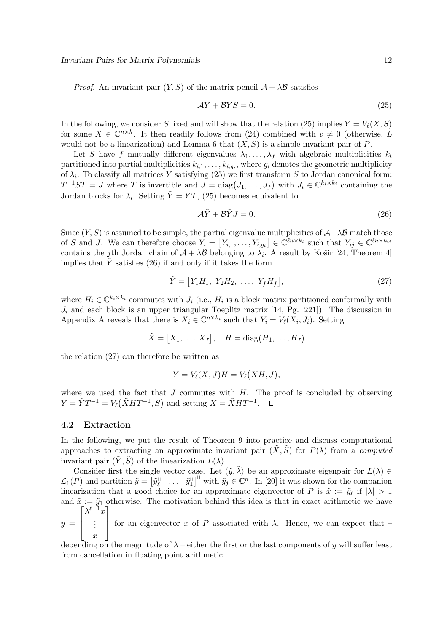*Proof.* An invariant pair  $(Y, S)$  of the matrix pencil  $\mathcal{A} + \lambda \mathcal{B}$  satisfies

$$
\mathcal{A}Y + \mathcal{B}YS = 0. \tag{25}
$$

In the following, we consider S fixed and will show that the relation (25) implies  $Y = V_{\ell}(X, S)$ for some  $X \in \mathbb{C}^{n \times k}$ . It then readily follows from (24) combined with  $v \neq 0$  (otherwise, L would not be a linearization) and Lemma 6 that  $(X, S)$  is a simple invariant pair of P.

Let S have f mutually different eigenvalues  $\lambda_1, \ldots, \lambda_f$  with algebraic multiplicities  $k_i$ partitioned into partial multiplicities  $k_{i,1}, \ldots, k_{i,g_i}$ , where  $g_i$  denotes the geometric multiplicity of  $\lambda_i$ . To classify all matrices Y satisfying (25) we first transform S to Jordan canonical form:  $T^{-1}ST = J$  where T is invertible and  $J = diag(J_1, \ldots, J_f)$  with  $J_i \in \mathbb{C}^{k_i \times k_i}$  containing the Jordan blocks for  $\lambda_i$ . Setting  $\tilde{Y} = YT$ , (25) becomes equivalent to

$$
\mathcal{A}\tilde{Y} + \mathcal{B}\tilde{Y}J = 0. \tag{26}
$$

Since  $(Y, S)$  is assumed to be simple, the partial eigenvalue multiplicities of  $A + \lambda B$  match those of S and J. We can therefore choose  $Y_i = [Y_{i,1}, \ldots, Y_{i,g_i}] \in \mathbb{C}^{\ell n \times k_i}$  such that  $Y_{ij} \in \mathbb{C}^{\ell n \times k_{ij}}$ contains the jth Jordan chain of  $A + \lambda B$  belonging to  $\lambda_i$ . A result by Košir [24, Theorem 4] implies that  $\tilde{Y}$  satisfies (26) if and only if it takes the form

$$
\tilde{Y} = [Y_1 H_1, Y_2 H_2, \dots, Y_f H_f], \tag{27}
$$

where  $H_i \in \mathbb{C}^{k_i \times k_i}$  commutes with  $J_i$  (i.e.,  $H_i$  is a block matrix partitioned conformally with  $J_i$  and each block is an upper triangular Toeplitz matrix [14, Pg. 221]). The discussion in Appendix A reveals that there is  $X_i \in \mathbb{C}^{n \times k_i}$  such that  $Y_i = V_\ell(X_i, J_i)$ . Setting

$$
\tilde{X} = [X_1, \ldots X_f], \quad H = \text{diag}(H_1, \ldots, H_f)
$$

the relation (27) can therefore be written as

$$
\tilde{Y} = V_{\ell}(\tilde{X}, J)H = V_{\ell}(\tilde{X}H, J),
$$

where we used the fact that  $J$  commutes with  $H$ . The proof is concluded by observing  $Y = \tilde{Y}T^{-1} = V_{\ell}(\tilde{X}HT^{-1}, S)$  and setting  $X = \tilde{X}HT^{-1}$ .

#### 4.2 Extraction

In the following, we put the result of Theorem 9 into practice and discuss computational approaches to extracting an approximate invariant pair  $(\tilde{X}, \tilde{S})$  for  $P(\lambda)$  from a *computed* invariant pair  $(\tilde{Y}, \tilde{S})$  of the linearization  $L(\lambda)$ .

Consider first the single vector case. Let  $(\tilde{y}, \tilde{\lambda})$  be an approximate eigenpair for  $L(\lambda) \in$  $\mathcal{L}_1(P)$  and partition  $\tilde{y} = \begin{bmatrix} \tilde{y}_\ell^H & \dots & \tilde{y}_1^H \end{bmatrix}^H$  with  $\tilde{y}_j \in \mathbb{C}^n$ . In [20] it was shown for the companion linearization that a good choice for an approximate eigenvector of P is  $\tilde{x} := \tilde{y}_{\ell}$  if  $|\lambda| > 1$ and  $\tilde{x} := \tilde{y}_1$  otherwise. The motivation behind this idea is that in exact arithmetic we have  $\lceil \lambda^{\ell-1} x \rceil$ 

 $y =$  $\overline{1}$  $\mathbf{I}$ . . .  $\boldsymbol{x}$  $\mathbf{I}$ for an eigenvector x of P associated with  $\lambda$ . Hence, we can expect that –

depending on the magnitude of  $\lambda$  – either the first or the last components of y will suffer least from cancellation in floating point arithmetic.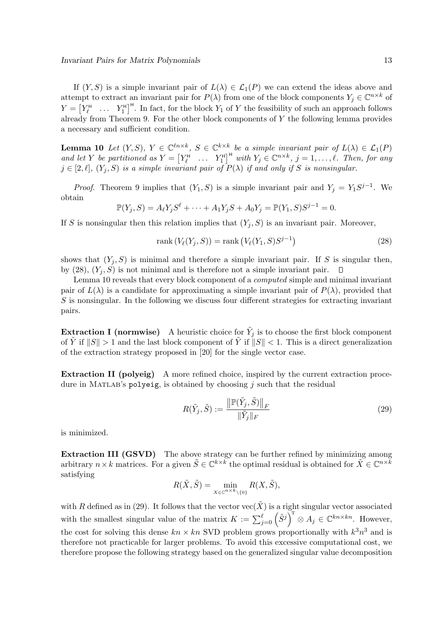If  $(Y, S)$  is a simple invariant pair of  $L(\lambda) \in \mathcal{L}_1(P)$  we can extend the ideas above and attempt to extract an invariant pair for  $P(\lambda)$  from one of the block components  $Y_j \in \mathbb{C}^{n \times k}$  of  $Y = \begin{bmatrix} Y_{\ell}^H & \dots & Y_1^H \end{bmatrix}^H$ . In fact, for the block  $Y_1$  of Y the feasibility of such an approach follows already from Theorem 9. For the other block components of  $Y$  the following lemma provides a necessary and sufficient condition.

**Lemma 10** Let  $(Y, S)$ ,  $Y \in \mathbb{C}^{\ell n \times k}$ ,  $S \in \mathbb{C}^{k \times k}$  be a simple invariant pair of  $L(\lambda) \in \mathcal{L}_1(P)$ and let Y be partitioned as  $Y = \begin{bmatrix} Y_\ell^{\text{H}} & \dots & Y_1^{\text{H}} \end{bmatrix}^{\text{H}}$  with  $Y_j \in \mathbb{C}^{n \times k}$ ,  $j = 1, \dots, \ell$ . Then, for any  $j \in [2, \ell], (Y_j, S)$  *is a simple invariant pair of*  $P(\lambda)$  *if and only if* S *is nonsingular.* 

*Proof.* Theorem 9 implies that  $(Y_1, S)$  is a simple invariant pair and  $Y_j = Y_1 S^{j-1}$ . We obtain

$$
\mathbb{P}(Y_j, S) = A_{\ell} Y_j S^{\ell} + \dots + A_1 Y_j S + A_0 Y_j = \mathbb{P}(Y_1, S) S^{j-1} = 0.
$$

If S is nonsingular then this relation implies that  $(Y_j, S)$  is an invariant pair. Moreover,

$$
rank(V_{\ell}(Y_j, S)) = rank(V_{\ell}(Y_1, S)S^{j-1})
$$
\n(28)

shows that  $(Y_j, S)$  is minimal and therefore a simple invariant pair. If S is singular then, by (28),  $(Y_i, S)$  is not minimal and is therefore not a simple invariant pair.  $\Box$ 

Lemma 10 reveals that every block component of a *computed* simple and minimal invariant pair of  $L(\lambda)$  is a candidate for approximating a simple invariant pair of  $P(\lambda)$ , provided that  $S$  is nonsingular. In the following we discuss four different strategies for extracting invariant pairs.

**Extraction I (normwise)** A heuristic choice for  $\tilde{Y}_j$  is to choose the first block component of  $\tilde{Y}$  if  $||S|| > 1$  and the last block component of  $\tilde{Y}$  if  $||S|| < 1$ . This is a direct generalization of the extraction strategy proposed in [20] for the single vector case.

Extraction II (polyeig) A more refined choice, inspired by the current extraction procedure in MATLAB's polyeig, is obtained by choosing  $j$  such that the residual

$$
R(\tilde{Y}_j, \tilde{S}) := \frac{\left\| \mathbb{P}(\tilde{Y}_j, \tilde{S}) \right\|_F}{\|\tilde{Y}_j\|_F} \tag{29}
$$

is minimized.

Extraction III (GSVD) The above strategy can be further refined by minimizing among arbitrary  $n \times k$  matrices. For a given  $\tilde{S} \in \mathbb{C}^{k \times k}$  the optimal residual is obtained for  $\tilde{X} \in \mathbb{C}^{n \times k}$ satisfying

$$
R(\tilde{X}, \tilde{S}) = \min_{X \in \mathbb{C}^{n \times k} \setminus \{0\}} R(X, \tilde{S}),
$$

with R defined as in (29). It follows that the vector  $vec(\tilde{X})$  is a right singular vector associated with the smallest singular value of the matrix  $K := \sum_{j=0}^{\ell} (\tilde{S}^{j})^T \otimes A_j \in \mathbb{C}^{kn \times kn}$ . However, the cost for solving this dense  $kn \times kn$  SVD problem grows proportionally with  $k^3n^3$  and is therefore not practicable for larger problems. To avoid this excessive computational cost, we therefore propose the following strategy based on the generalized singular value decomposition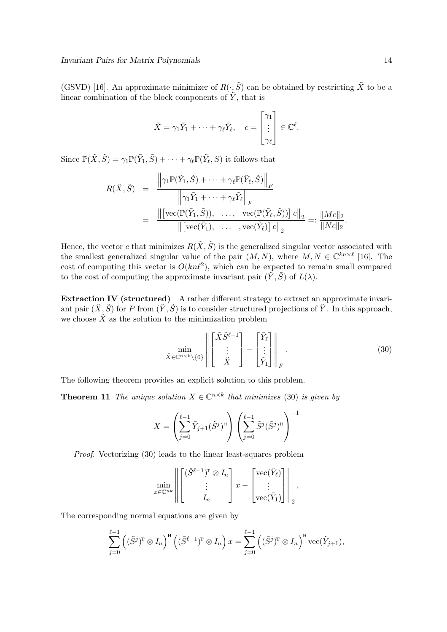(GSVD) [16]. An approximate minimizer of  $R(\cdot, \tilde{S})$  can be obtained by restricting  $\tilde{X}$  to be a linear combination of the block components of  $\hat{Y}$ , that is

$$
\tilde{X} = \gamma_1 \tilde{Y}_1 + \dots + \gamma_\ell \tilde{Y}_\ell, \quad c = \begin{bmatrix} \gamma_1 \\ \vdots \\ \gamma_\ell \end{bmatrix} \in \mathbb{C}^\ell.
$$

Since  $\mathbb{P}(\tilde{X},\tilde{S})=\gamma_1\mathbb{P}(\tilde{Y}_1,\tilde{S})+\cdots+\gamma_\ell\mathbb{P}(\tilde{Y}_\ell,S)$  it follows that

$$
R(\tilde{X}, \tilde{S}) = \frac{\left\|\gamma_1 \mathbb{P}(\tilde{Y}_1, \tilde{S}) + \dots + \gamma_\ell \mathbb{P}(\tilde{Y}_\ell, \tilde{S})\right\|_F}{\left\|\gamma_1 \tilde{Y}_1 + \dots + \gamma_\ell \tilde{Y}_\ell\right\|_F}
$$
  

$$
= \frac{\left\|\left[\text{vec}(\mathbb{P}(\tilde{Y}_1, \tilde{S})), \dots, \text{vec}(\mathbb{P}(\tilde{Y}_\ell, \tilde{S}))\right] c\right\|_2}{\left\|\left[\text{vec}(\tilde{Y}_1), \dots, \text{vec}(\tilde{Y}_\ell)\right] c\right\|_2} =: \frac{\|Mc\|_2}{\|Nc\|_2}.
$$

Hence, the vector c that minimizes  $R(\tilde{X}, \tilde{S})$  is the generalized singular vector associated with the smallest generalized singular value of the pair  $(M, N)$ , where  $M, N \in \mathbb{C}^{kn \times \ell}$  [16]. The cost of computing this vector is  $O(kn\ell^2)$ , which can be expected to remain small compared to the cost of computing the approximate invariant pair  $(\tilde{Y}, \tilde{S})$  of  $L(\lambda)$ .

Extraction IV (structured) A rather different strategy to extract an approximate invariant pair  $(\tilde{X}, \tilde{S})$  for P from  $(\tilde{Y}, \tilde{S})$  is to consider structured projections of  $\tilde{Y}$ . In this approach, we choose  $\tilde{X}$  as the solution to the minimization problem

$$
\min_{\tilde{X} \in \mathbb{C}^{n \times k} \setminus \{0\}} \left\| \begin{bmatrix} \tilde{X} \tilde{S}^{\ell-1} \\ \vdots \\ \tilde{X} \end{bmatrix} - \begin{bmatrix} \tilde{Y}_{\ell} \\ \vdots \\ \tilde{Y}_{1} \end{bmatrix} \right\|_{F} . \tag{30}
$$

The following theorem provides an explicit solution to this problem.

**Theorem 11** The unique solution  $X \in \mathbb{C}^{n \times k}$  that minimizes (30) is given by

$$
X = \left(\sum_{j=0}^{\ell-1} \tilde{Y}_{j+1}(\tilde{S}^j)^{\mathsf{H}}\right) \left(\sum_{j=0}^{\ell-1} \tilde{S}^j(\tilde{S}^j)^{\mathsf{H}}\right)^{-1}
$$

*Proof*. Vectorizing (30) leads to the linear least-squares problem

$$
\min_{x \in \mathbb{C}^{nk}} \left\| \begin{bmatrix} (\tilde{S}^{\ell-1})^T \otimes I_n \\ \vdots \\ I_n \end{bmatrix} x - \begin{bmatrix} \text{vec}(\tilde{Y}_{\ell}) \\ \vdots \\ \text{vec}(\tilde{Y}_1) \end{bmatrix} \right\|_2,
$$

The corresponding normal equations are given by

$$
\sum_{j=0}^{\ell-1} ((\tilde{S}^j)^{\mathrm{T}} \otimes I_n)^{\mathrm{H}} ((\tilde{S}^{\ell-1})^{\mathrm{T}} \otimes I_n) x = \sum_{j=0}^{\ell-1} ((\tilde{S}^j)^{\mathrm{T}} \otimes I_n)^{\mathrm{H}} \mathrm{vec}(\tilde{Y}_{j+1}),
$$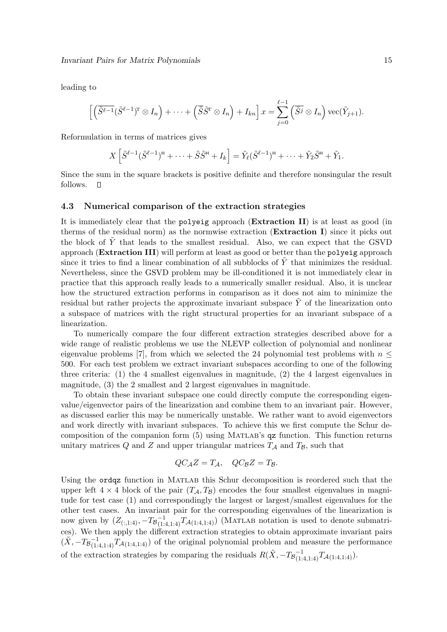leading to

$$
\left[ \left( \tilde{S}^{\ell-1} (\tilde{S}^{\ell-1})^{\mathrm{T}} \otimes I_n \right) + \cdots + \left( \tilde{S} \tilde{S}^{\mathrm{T}} \otimes I_n \right) + I_{kn} \right] x = \sum_{j=0}^{\ell-1} \left( \tilde{S}^j \otimes I_n \right) \text{vec}(\tilde{Y}_{j+1}).
$$

Reformulation in terms of matrices gives

$$
X\left[\tilde{S}^{\ell-1}(\tilde{S}^{\ell-1})^{\mathsf{H}} + \cdots + \tilde{S}\tilde{S}^{\mathsf{H}} + I_k\right] = \tilde{Y}_{\ell}(\tilde{S}^{\ell-1})^{\mathsf{H}} + \cdots + \tilde{Y}_2\tilde{S}^{\mathsf{H}} + \tilde{Y}_1.
$$

Since the sum in the square brackets is positive definite and therefore nonsingular the result follows.  $\Box$ 

#### 4.3 Numerical comparison of the extraction strategies

It is immediately clear that the polyeig approach (Extraction II) is at least as good (in therms of the residual norm) as the normwise extraction (Extraction I) since it picks out the block of  $\tilde{Y}$  that leads to the smallest residual. Also, we can expect that the GSVD approach (Extraction III) will perform at least as good or better than the polyeig approach since it tries to find a linear combination of all subblocks of  $\tilde{Y}$  that minimizes the residual. Nevertheless, since the GSVD problem may be ill-conditioned it is not immediately clear in practice that this approach really leads to a numerically smaller residual. Also, it is unclear how the structured extraction performs in comparison as it does not aim to minimize the residual but rather projects the approximate invariant subspace  $\tilde{Y}$  of the linearization onto a subspace of matrices with the right structural properties for an invariant subspace of a linearization.

To numerically compare the four different extraction strategies described above for a wide range of realistic problems we use the NLEVP collection of polynomial and nonlinear eigenvalue problems [7], from which we selected the 24 polynomial test problems with  $n \leq$ 500. For each test problem we extract invariant subspaces according to one of the following three criteria: (1) the 4 smallest eigenvalues in magnitude, (2) the 4 largest eigenvalues in magnitude, (3) the 2 smallest and 2 largest eigenvalues in magnitude.

To obtain these invariant subspace one could directly compute the corresponding eigenvalue/eigenvector pairs of the linearization and combine them to an invariant pair. However, as discussed earlier this may be numerically unstable. We rather want to avoid eigenvectors and work directly with invariant subspaces. To achieve this we first compute the Schur decomposition of the companion form (5) using Matlab's qz function. This function returns unitary matrices  $Q$  and  $Z$  and upper triangular matrices  $T_A$  and  $T_B$ , such that

$$
QC_{\mathcal{A}}Z = T_{\mathcal{A}}, \quad QC_{\mathcal{B}}Z = T_{\mathcal{B}}.
$$

Using the ordqz function in Matlab this Schur decomposition is reordered such that the upper left  $4 \times 4$  block of the pair  $(T_A, T_B)$  encodes the four smallest eigenvalues in magnitude for test case (1) and correspondingly the largest or largest/smallest eigenvalues for the other test cases. An invariant pair for the corresponding eigenvalues of the linearization is now given by  $(Z_{(:,1:4)}, -T_{\mathcal{B}}_{(1:4,1:4)}^{-1}T_{\mathcal{A}(1:4,1:4)})$  (MATLAB notation is used to denote submatrices). We then apply the different extraction strategies to obtain approximate invariant pairs  $(\tilde{X}, -T_{\mathcal{B}}_{(1:4,1:4)}^{-1}T_{\mathcal{A}(1:4,1:4)})$  of the original polynomial problem and measure the performance of the extraction strategies by comparing the residuals  $R(\tilde{X}, -T_{\mathcal{B}}^{-1}_{(1:4,1:4)}T_{\mathcal{A}(1:4,1:4)}).$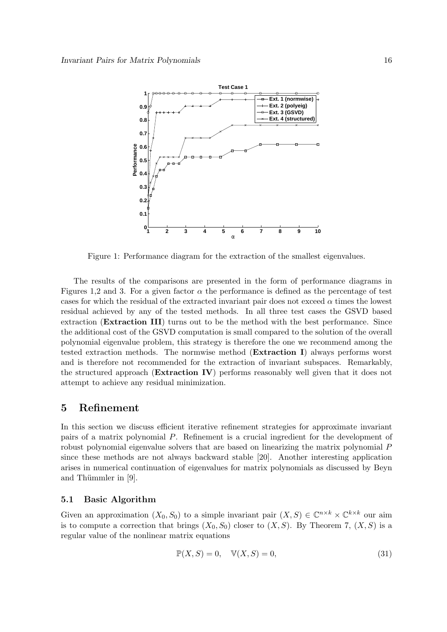

Figure 1: Performance diagram for the extraction of the smallest eigenvalues.

The results of the comparisons are presented in the form of performance diagrams in Figures 1,2 and 3. For a given factor  $\alpha$  the performance is defined as the percentage of test cases for which the residual of the extracted invariant pair does not exceed  $\alpha$  times the lowest residual achieved by any of the tested methods. In all three test cases the GSVD based extraction (Extraction III) turns out to be the method with the best performance. Since the additional cost of the GSVD computation is small compared to the solution of the overall polynomial eigenvalue problem, this strategy is therefore the one we recommend among the tested extraction methods. The normwise method (Extraction I) always performs worst and is therefore not recommended for the extraction of invariant subspaces. Remarkably, the structured approach (Extraction IV) performs reasonably well given that it does not attempt to achieve any residual minimization.

### 5 Refinement

In this section we discuss efficient iterative refinement strategies for approximate invariant pairs of a matrix polynomial P. Refinement is a crucial ingredient for the development of robust polynomial eigenvalue solvers that are based on linearizing the matrix polynomial P since these methods are not always backward stable [20]. Another interesting application arises in numerical continuation of eigenvalues for matrix polynomials as discussed by Beyn and Thümmler in  $[9]$ .

#### 5.1 Basic Algorithm

Given an approximation  $(X_0, S_0)$  to a simple invariant pair  $(X, S) \in \mathbb{C}^{n \times k} \times \mathbb{C}^{k \times k}$  our aim is to compute a correction that brings  $(X_0, S_0)$  closer to  $(X, S)$ . By Theorem 7,  $(X, S)$  is a regular value of the nonlinear matrix equations

$$
\mathbb{P}(X, S) = 0, \quad \mathbb{V}(X, S) = 0,\tag{31}
$$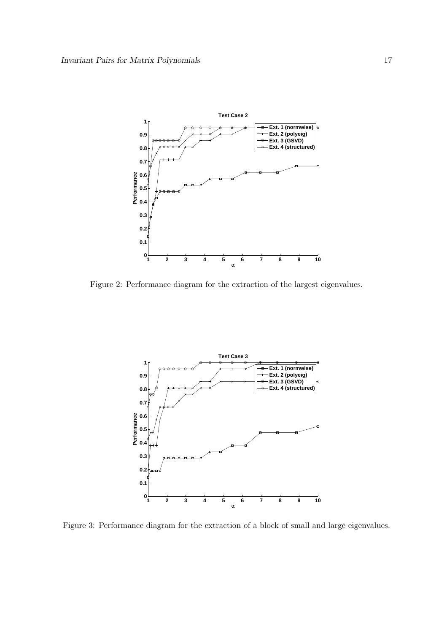

Figure 2: Performance diagram for the extraction of the largest eigenvalues.



Figure 3: Performance diagram for the extraction of a block of small and large eigenvalues.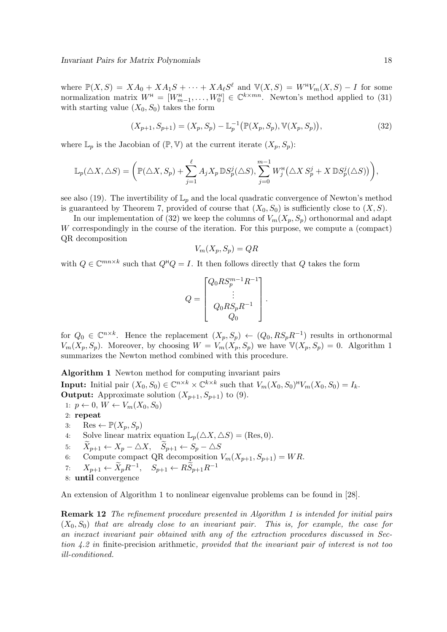where  $\mathbb{P}(X, S) = X A_0 + X A_1 S + \cdots + X A_\ell S^\ell$  and  $\mathbb{V}(X, S) = W^{\mathsf{H}} V_m(X, S) - I$  for some normalization matrix  $W^{\text{H}} = [W^{\text{H}}_{m-1}, \ldots, W^{\text{H}}_{0}] \in \mathbb{C}^{k \times mn}$ . Newton's method applied to (31) with starting value  $(X_0, S_0)$  takes the form

$$
(X_{p+1}, S_{p+1}) = (X_p, S_p) - \mathbb{L}_p^{-1}(\mathbb{P}(X_p, S_p), \mathbb{V}(X_p, S_p)),
$$
\n(32)

where  $\mathbb{L}_p$  is the Jacobian of  $(\mathbb{P}, \mathbb{V})$  at the current iterate  $(X_p, S_p)$ :

$$
\mathbb{L}_p(\triangle X, \triangle S) = \left( \mathbb{P}(\triangle X, S_p) + \sum_{j=1}^{\ell} A_j X_p \mathbb{D} S_p^j(\triangle S), \sum_{j=0}^{m-1} W_j^{\mathsf{H}}(\triangle X S_p^j + X \mathbb{D} S_p^j(\triangle S)) \right),
$$

see also (19). The invertibility of  $\mathbb{L}_p$  and the local quadratic convergence of Newton's method is guaranteed by Theorem 7, provided of course that  $(X_0, S_0)$  is sufficiently close to  $(X, S)$ .

In our implementation of (32) we keep the columns of  $V_m(X_p, S_p)$  orthonormal and adapt W correspondingly in the course of the iteration. For this purpose, we compute a (compact) QR decomposition

$$
V_m(X_p, S_p) = QR
$$

with  $Q \in \mathbb{C}^{mn \times k}$  such that  $Q^{\text{H}}Q = I$ . It then follows directly that Q takes the form

$$
Q = \begin{bmatrix} Q_0 R S_p^{m-1} R^{-1} \\ \vdots \\ Q_0 R S_p R^{-1} \\ Q_0 \end{bmatrix}.
$$

for  $Q_0 \in \mathbb{C}^{n \times k}$ . Hence the replacement  $(X_p, S_p) \leftarrow (Q_0, RS_pR^{-1})$  results in orthonormal  $V_m(X_p, S_p)$ . Moreover, by choosing  $W = V_m(X_p, S_p)$  we have  $\mathbb{V}(X_p, S_p) = 0$ . Algorithm 1 summarizes the Newton method combined with this procedure.

Algorithm 1 Newton method for computing invariant pairs

**Input:** Initial pair  $(X_0, S_0) \in \mathbb{C}^{n \times k} \times \mathbb{C}^{k \times k}$  such that  $V_m(X_0, S_0)^{\text{H}} V_m(X_0, S_0) = I_k$ . **Output:** Approximate solution  $(X_{p+1}, S_{p+1})$  to (9).

- 1:  $p \leftarrow 0, W \leftarrow V_m(X_0, S_0)$
- 2: repeat
- 3: Res  $\leftarrow \mathbb{P}(X_p, S_p)$
- 4: Solve linear matrix equation  $\mathbb{L}_p(\triangle X, \triangle S) = (\text{Res}, 0)$ .
- 5:  $X_{p+1} \leftarrow X_p \triangle X$ ,  $S_{p+1} \leftarrow S_p \triangle S$
- 6: Compute compact QR decomposition  $V_m(X_{p+1}, S_{p+1}) = WR$ .
- 7:  $X_{p+1} \leftarrow \tilde{X}_p R^{-1}, \quad S_{p+1} \leftarrow R \tilde{S}_{p+1} R^{-1}$
- 8: until convergence

An extension of Algorithm 1 to nonlinear eigenvalue problems can be found in [28].

Remark 12 *The refinement procedure presented in Algorithm 1 is intended for initial pairs* (X0, S0) *that are already close to an invariant pair. This is, for example, the case for an inexact invariant pair obtained with any of the extraction procedures discussed in Section 4.2 in* finite-precision arithmetic*, provided that the invariant pair of interest is not too ill-conditioned.*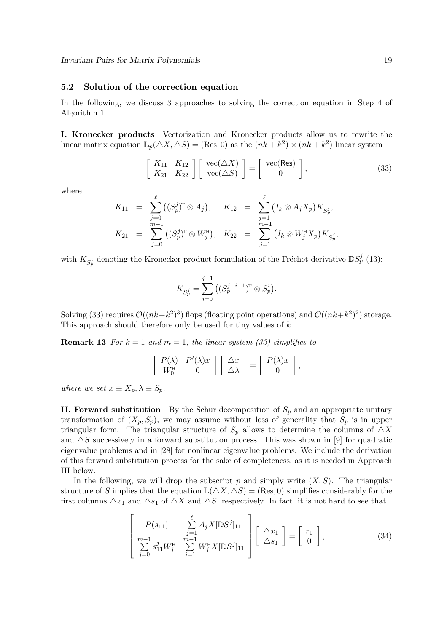#### 5.2 Solution of the correction equation

In the following, we discuss 3 approaches to solving the correction equation in Step 4 of Algorithm 1.

I. Kronecker products Vectorization and Kronecker products allow us to rewrite the linear matrix equation  $\mathbb{L}_p(\triangle X, \triangle S) = (\text{Res}, 0)$  as the  $(nk + k^2) \times (nk + k^2)$  linear system

$$
\left[\begin{array}{cc} K_{11} & K_{12} \\ K_{21} & K_{22} \end{array}\right] \left[\begin{array}{c} \text{vec}(\triangle X) \\ \text{vec}(\triangle S) \end{array}\right] = \left[\begin{array}{c} \text{vec}(\text{Res}) \\ 0 \end{array}\right],\tag{33}
$$

where

$$
K_{11} = \sum_{j=0}^{\ell} ((S_p^j)^T \otimes A_j), \quad K_{12} = \sum_{j=1}^{\ell} (I_k \otimes A_j X_p) K_{S_p^j},
$$
  
\n
$$
K_{21} = \sum_{j=0}^{m-1} ((S_p^j)^T \otimes W_j^{\mathsf{H}}), \quad K_{22} = \sum_{j=1}^{m-1} (I_k \otimes W_j^{\mathsf{H}} X_p) K_{S_p^j},
$$

with  $K_{S_p^j}$  denoting the Kronecker product formulation of the Fréchet derivative  $\mathbb{D}S_p^j$  (13):

$$
K_{S_p^j}=\sum_{i=0}^{j-1}\big((S_p^{j-i-1})^{\rm T}\otimes S_p^i\big).
$$

Solving (33) requires  $\mathcal{O}((nk+k^2)^3)$  flops (floating point operations) and  $\mathcal{O}((nk+k^2)^2)$  storage. This approach should therefore only be used for tiny values of  $k$ .

**Remark 13** *For*  $k = 1$  *and*  $m = 1$ *, the linear system (33) simplifies to* 

$$
\left[\begin{array}{cc} P(\lambda) & P'(\lambda)x \\ W_0^H & 0 \end{array}\right] \left[\begin{array}{c} \triangle x \\ \triangle \lambda \end{array}\right] = \left[\begin{array}{c} P(\lambda)x \\ 0 \end{array}\right],
$$

*where we set*  $x \equiv X_p, \lambda \equiv S_p$ *.* 

**II. Forward substitution** By the Schur decomposition of  $S_p$  and an appropriate unitary transformation of  $(X_p, S_p)$ , we may assume without loss of generality that  $S_p$  is in upper triangular form. The triangular structure of  $S_p$  allows to determine the columns of  $\triangle X$ and  $\Delta S$  successively in a forward substitution process. This was shown in [9] for quadratic eigenvalue problems and in [28] for nonlinear eigenvalue problems. We include the derivation of this forward substitution process for the sake of completeness, as it is needed in Approach III below.

In the following, we will drop the subscript p and simply write  $(X, S)$ . The triangular structure of S implies that the equation  $\mathbb{L}(\Delta X, \Delta S) = (\text{Res}, 0)$  simplifies considerably for the first columns  $\Delta x_1$  and  $\Delta s_1$  of  $\Delta X$  and  $\Delta S$ , respectively. In fact, it is not hard to see that

$$
\begin{bmatrix}\nP(s_{11}) & \sum_{j=1}^{\ell} A_j X [\mathbb{D}S^j]_{11} \\
m-1 & m-1 \\
\sum_{j=0}^{m-1} s_{11}^j W_j^{\mathsf{H}} & \sum_{j=1}^{m-1} W_j^{\mathsf{H}} X [\mathbb{D}S^j]_{11}\n\end{bmatrix} \begin{bmatrix}\n\Delta x_1 \\
\Delta s_1\n\end{bmatrix} = \begin{bmatrix}\nr_1 \\
0\n\end{bmatrix},
$$
\n(34)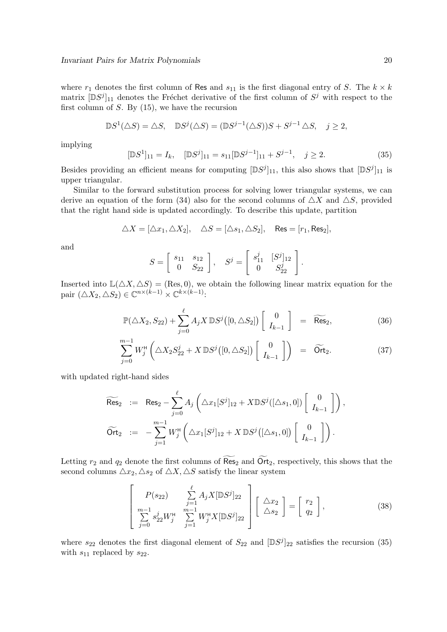where  $r_1$  denotes the first column of Res and  $s_{11}$  is the first diagonal entry of S. The  $k \times k$ matrix  $[\mathbb{D}S^j]_{11}$  denotes the Fréchet derivative of the first column of  $S^j$  with respect to the first column of  $S$ . By  $(15)$ , we have the recursion

$$
\mathbb{D}S^1(\triangle S) = \triangle S, \quad \mathbb{D}S^j(\triangle S) = (\mathbb{D}S^{j-1}(\triangle S))S + S^{j-1}\triangle S, \quad j \ge 2,
$$

implying

$$
[\mathbb{D}S^1]_{11} = I_k, \quad [\mathbb{D}S^j]_{11} = s_{11}[\mathbb{D}S^{j-1}]_{11} + S^{j-1}, \quad j \ge 2.
$$
 (35)

Besides providing an efficient means for computing  $[\mathbb{D}S^j]_{11}$ , this also shows that  $[\mathbb{D}S^j]_{11}$  is upper triangular.

Similar to the forward substitution process for solving lower triangular systems, we can derive an equation of the form (34) also for the second columns of  $\triangle X$  and  $\triangle S$ , provided that the right hand side is updated accordingly. To describe this update, partition

$$
\triangle X = [\triangle x_1, \triangle X_2], \quad \triangle S = [\triangle s_1, \triangle S_2], \quad \text{Res} = [r_1, \text{Res}_2],
$$

and

$$
S = \begin{bmatrix} s_{11} & s_{12} \\ 0 & S_{22} \end{bmatrix}, \quad S^{j} = \begin{bmatrix} s_{11}^{j} & [S^{j}]_{12} \\ 0 & S_{22}^{j} \end{bmatrix}.
$$

Inserted into  $\mathbb{L}(\Delta X, \Delta S) =$  (Res, 0), we obtain the following linear matrix equation for the pair  $(\triangle X_2, \triangle S_2) \in \mathbb{C}^{n \times (k-1)} \times \mathbb{C}^{k \times (k-1)}$ :

$$
\mathbb{P}(\triangle X_2, S_{22}) + \sum_{j=0}^{\ell} A_j X \, \mathbb{D}S^j([0, \triangle S_2]) \left[ \begin{array}{c} 0 \\ I_{k-1} \end{array} \right] = \widetilde{\text{Res}}_2,\tag{36}
$$

$$
\sum_{j=0}^{m-1} W_j^{\mu} \left( \Delta X_2 S_{22}^j + X \, \mathbb{D} S^j \left( [0, \Delta S_2] \right) \begin{bmatrix} 0 \\ I_{k-1} \end{bmatrix} \right) = \widetilde{\text{Ort}}_2. \tag{37}
$$

with updated right-hand sides

$$
\widetilde{\text{Res}}_2 := \text{Res}_2 - \sum_{j=0}^{\ell} A_j \left( \Delta x_1 [S^j]_{12} + X \mathbb{D} S^j ([\Delta s_1, 0]) \begin{bmatrix} 0 \\ I_{k-1} \end{bmatrix} \right),
$$
  
\n
$$
\widetilde{\text{Ort}}_2 := - \sum_{j=1}^{m-1} W_j^{\text{H}} \left( \Delta x_1 [S^j]_{12} + X \mathbb{D} S^j ([\Delta s_1, 0]) \begin{bmatrix} 0 \\ I_{k-1} \end{bmatrix} \right).
$$

Letting  $r_2$  and  $q_2$  denote the first columns of  $\widetilde{\text{Res}}_2$  and  $\widetilde{\text{Or}}t_2$ , respectively, this shows that the second columns  $\triangle x_2, \triangle s_2$  of  $\triangle X, \triangle S$  satisfy the linear system

$$
\begin{bmatrix}\nP(s_{22}) & \sum_{j=1}^{\ell} A_j X [\mathbb{D}S^j]_{22} \\
m-1 & m-1 \\
\sum_{j=0}^{m-1} s_{22}^j W_j^{\mathsf{H}} & \sum_{j=1}^{m-1} W_j^{\mathsf{H}} X [\mathbb{D}S^j]_{22}\n\end{bmatrix} \begin{bmatrix}\n\Delta x_2 \\
\Delta s_2\n\end{bmatrix} = \begin{bmatrix}\nr_2 \\
q_2\n\end{bmatrix},
$$
\n(38)

where  $s_{22}$  denotes the first diagonal element of  $S_{22}$  and  $[DS<sup>j</sup>]_{22}$  satisfies the recursion (35) with  $s_{11}$  replaced by  $s_{22}$ .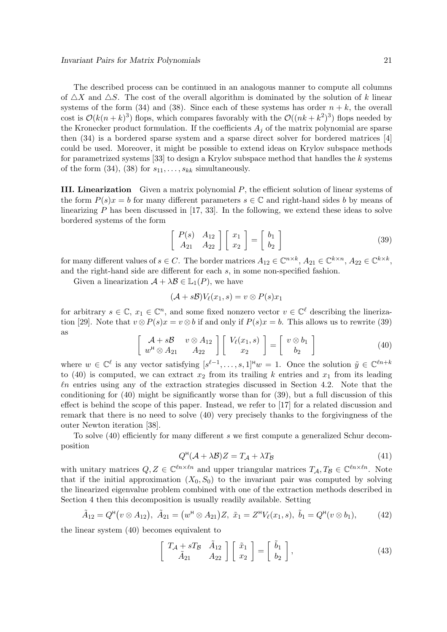The described process can be continued in an analogous manner to compute all columns of  $\Delta X$  and  $\Delta S$ . The cost of the overall algorithm is dominated by the solution of k linear systems of the form (34) and (38). Since each of these systems has order  $n + k$ , the overall cost is  $\mathcal{O}(k(n+k)^3)$  flops, which compares favorably with the  $\mathcal{O}((nk+k^2)^3)$  flops needed by the Kronecker product formulation. If the coefficients  $A_i$  of the matrix polynomial are sparse then (34) is a bordered sparse system and a sparse direct solver for bordered matrices [4] could be used. Moreover, it might be possible to extend ideas on Krylov subspace methods for parametrized systems  $[33]$  to design a Krylov subspace method that handles the k systems of the form  $(34)$ ,  $(38)$  for  $s_{11}, \ldots, s_{kk}$  simultaneously.

III. Linearization Given a matrix polynomial P, the efficient solution of linear systems of the form  $P(s)x = b$  for many different parameters  $s \in \mathbb{C}$  and right-hand sides b by means of linearizing  $P$  has been discussed in [17, 33]. In the following, we extend these ideas to solve bordered systems of the form

$$
\left[\begin{array}{cc} P(s) & A_{12} \\ A_{21} & A_{22} \end{array}\right] \left[\begin{array}{c} x_1 \\ x_2 \end{array}\right] = \left[\begin{array}{c} b_1 \\ b_2 \end{array}\right] \tag{39}
$$

for many different values of  $s \in C$ . The border matrices  $A_{12} \in \mathbb{C}^{n \times k}$ ,  $A_{21} \in \mathbb{C}^{k \times n}$ ,  $A_{22} \in \mathbb{C}^{k \times k}$ , and the right-hand side are different for each s, in some non-specified fashion.

Given a linearization  $\mathcal{A} + \lambda \mathcal{B} \in \mathbb{L}_1(P)$ , we have

$$
(\mathcal{A} + s\mathcal{B})V_{\ell}(x_1, s) = v \otimes P(s)x_1
$$

for arbitrary  $s \in \mathbb{C}$ ,  $x_1 \in \mathbb{C}^n$ , and some fixed nonzero vector  $v \in \mathbb{C}^{\ell}$  describing the linerization [29]. Note that  $v \otimes P(s)x = v \otimes b$  if and only if  $P(s)x = b$ . This allows us to rewrite (39) as

$$
\begin{bmatrix}\n\mathcal{A} + s\mathcal{B} & v \otimes A_{12} \\
w^{\mathrm{H}} \otimes A_{21} & A_{22}\n\end{bmatrix}\n\begin{bmatrix}\nV_{\ell}(x_1, s) \\
x_2\n\end{bmatrix} =\n\begin{bmatrix}\nv \otimes b_1 \\
b_2\n\end{bmatrix}
$$
\n(40)

where  $w \in \mathbb{C}^{\ell}$  is any vector satisfying  $[s^{\ell-1},...,s,1]^{\mu}w = 1$ . Once the solution  $\tilde{y} \in \mathbb{C}^{\ell n+k}$ to (40) is computed, we can extract  $x_2$  from its trailing k entries and  $x_1$  from its leading  $ln$  entries using any of the extraction strategies discussed in Section 4.2. Note that the conditioning for (40) might be significantly worse than for (39), but a full discussion of this effect is behind the scope of this paper. Instead, we refer to [17] for a related discussion and remark that there is no need to solve (40) very precisely thanks to the forgivingness of the outer Newton iteration [38].

To solve (40) efficiently for many different s we first compute a generalized Schur decomposition

$$
Q^{\rm H}(\mathcal{A} + \lambda \mathcal{B})Z = T_{\mathcal{A}} + \lambda T_{\mathcal{B}} \tag{41}
$$

with unitary matrices  $Q, Z \in \mathbb{C}^{\ell n \times \ell n}$  and upper triangular matrices  $T_A, T_B \in \mathbb{C}^{\ell n \times \ell n}$ . Note that if the initial approximation  $(X_0, S_0)$  to the invariant pair was computed by solving the linearized eigenvalue problem combined with one of the extraction methods described in Section 4 then this decomposition is usually readily available. Setting

$$
\tilde{A}_{12} = Q^{\mathsf{H}}(v \otimes A_{12}), \ \tilde{A}_{21} = (w^{\mathsf{H}} \otimes A_{21})Z, \ \tilde{x}_1 = Z^{\mathsf{H}}V_{\ell}(x_1, s), \ \tilde{b}_1 = Q^{\mathsf{H}}(v \otimes b_1), \tag{42}
$$

the linear system (40) becomes equivalent to

$$
\begin{bmatrix}\nT_A + sT_B & \tilde{A}_{12} \\
\tilde{A}_{21} & A_{22}\n\end{bmatrix}\n\begin{bmatrix}\n\tilde{x}_1 \\
x_2\n\end{bmatrix} =\n\begin{bmatrix}\n\tilde{b}_1 \\
b_2\n\end{bmatrix},
$$
\n(43)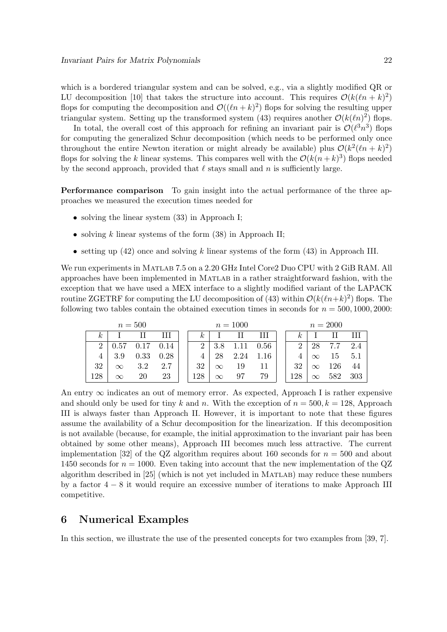which is a bordered triangular system and can be solved, e.g., via a slightly modified QR or LU decomposition [10] that takes the structure into account. This requires  $\mathcal{O}(k(\ell n + k)^2)$ flops for computing the decomposition and  $\mathcal{O}((\ell n+k)^2)$  flops for solving the resulting upper triangular system. Setting up the transformed system (43) requires another  $\mathcal{O}(k(\ell n)^2)$  flops.

In total, the overall cost of this approach for refining an invariant pair is  $\mathcal{O}(\ell^3 n^3)$  flops for computing the generalized Schur decomposition (which needs to be performed only once throughout the entire Newton iteration or might already be available) plus  $\mathcal{O}(k^2(\ln+k)^2)$ flops for solving the k linear systems. This compares well with the  $\mathcal{O}(k(n+k)^3)$  flops needed by the second approach, provided that  $\ell$  stays small and n is sufficiently large.

Performance comparison To gain insight into the actual performance of the three approaches we measured the execution times needed for

- solving the linear system  $(33)$  in Approach I;
- solving k linear systems of the form  $(38)$  in Approach II;
- setting up  $(42)$  once and solving k linear systems of the form  $(43)$  in Approach III.

We run experiments in MATLAB 7.5 on a 2.20 GHz Intel Core2 Duo CPU with 2 GiB RAM. All approaches have been implemented in Matlab in a rather straightforward fashion, with the exception that we have used a MEX interface to a slightly modified variant of the LAPACK routine ZGETRF for computing the LU decomposition of (43) within  $\mathcal{O}(k(\ln+k)^2)$  flops. The following two tables contain the obtained execution times in seconds for  $n = 500, 1000, 2000$ :

| $n=500$     |          |      |      |  | $n = 1000$ |          |      |      |  | $n = 2000$ |          |     |     |
|-------------|----------|------|------|--|------------|----------|------|------|--|------------|----------|-----|-----|
| k,          |          |      | Ш    |  | $\kappa$   |          |      | Ш    |  | $\kappa$   |          |     |     |
| $2^{\circ}$ | 0.57     | 0.17 | 0.14 |  | 2          | 3.8      |      | 0.56 |  | 2          | 28       | 7.7 | 2.4 |
| 4           | 3.9      | 0.33 | 0.28 |  | 4          | 28       | 2.24 | 1.16 |  |            | $\infty$ | 15  | 5.1 |
| 32          | $\infty$ | 3.2  | 2.7  |  | 32         | $\infty$ | 19   | 11   |  | 32         | $\infty$ | 126 | 44  |
| 128         | $\infty$ | 20   | 23   |  | 128        | $\infty$ |      | 79   |  | 128        | $\infty$ | 582 | 303 |

An entry  $\infty$  indicates an out of memory error. As expected, Approach I is rather expensive and should only be used for tiny k and n. With the exception of  $n = 500, k = 128$ , Approach III is always faster than Approach II. However, it is important to note that these figures assume the availability of a Schur decomposition for the linearization. If this decomposition is not available (because, for example, the initial approximation to the invariant pair has been obtained by some other means), Approach III becomes much less attractive. The current implementation [32] of the QZ algorithm requires about 160 seconds for  $n = 500$  and about 1450 seconds for  $n = 1000$ . Even taking into account that the new implementation of the QZ algorithm described in [25] (which is not yet included in Matlab) may reduce these numbers by a factor 4 − 8 it would require an excessive number of iterations to make Approach III competitive.

### 6 Numerical Examples

In this section, we illustrate the use of the presented concepts for two examples from [39, 7].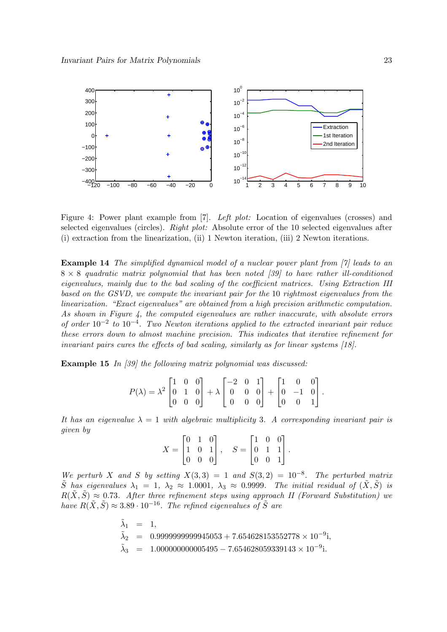

Figure 4: Power plant example from [7]. *Left plot:* Location of eigenvalues (crosses) and selected eigenvalues (circles). *Right plot:* Absolute error of the 10 selected eigenvalues after (i) extraction from the linearization, (ii) 1 Newton iteration, (iii) 2 Newton iterations.

Example 14 *The simplified dynamical model of a nuclear power plant from [7] leads to an* 8 × 8 *quadratic matrix polynomial that has been noted [39] to have rather ill-conditioned eigenvalues, mainly due to the bad scaling of the coefficient matrices. Using Extraction III based on the GSVD, we compute the invariant pair for the* 10 *rightmost eigenvalues from the linearization. "Exact eigenvalues" are obtained from a high precision arithmetic computation. As shown in Figure 4, the computed eigenvalues are rather inaccurate, with absolute errors of order*  $10^{-2}$  to  $10^{-4}$ . Two Newton iterations applied to the extracted invariant pair reduce *these errors down to almost machine precision. This indicates that iterative refinement for invariant pairs cures the effects of bad scaling, similarly as for linear systems [18].*

Example 15 *In [39] the following matrix polynomial was discussed:*

$$
P(\lambda) = \lambda^2 \begin{bmatrix} 1 & 0 & 0 \\ 0 & 1 & 0 \\ 0 & 0 & 0 \end{bmatrix} + \lambda \begin{bmatrix} -2 & 0 & 1 \\ 0 & 0 & 0 \\ 0 & 0 & 0 \end{bmatrix} + \begin{bmatrix} 1 & 0 & 0 \\ 0 & -1 & 0 \\ 0 & 0 & 1 \end{bmatrix}.
$$

*It has an eigenvalue*  $\lambda = 1$  *with algebraic multiplicity* 3*. A corresponding invariant pair is given by*

$$
X = \begin{bmatrix} 0 & 1 & 0 \\ 1 & 0 & 1 \\ 0 & 0 & 0 \end{bmatrix}, \quad S = \begin{bmatrix} 1 & 0 & 0 \\ 0 & 1 & 1 \\ 0 & 0 & 1 \end{bmatrix}.
$$

*We perturb* X and S by setting  $X(3,3) = 1$  and  $S(3,2) = 10^{-8}$ . The perturbed matrix  $\tilde{S}$  *has eigenvalues*  $\lambda_1 = 1$ ,  $\lambda_2 \approx 1.0001$ ,  $\lambda_3 \approx 0.9999$ *. The initial residual of*  $(\tilde{X}, \tilde{S})$  *is*  $R(\tilde{X}, \tilde{S}) \approx 0.73$ . After three refinement steps using approach II (Forward Substitution) we *have*  $R(\tilde{X}, \tilde{S}) \approx 3.89 \cdot 10^{-16}$ *. The refined eigenvalues of*  $\tilde{S}$  *are* 

> $\tilde{\lambda}_1 = 1$ ,  $\tilde{\lambda}_2$  = 0.9999999999945053 + 7.654628153552778 × 10<sup>-9</sup>i,  $\tilde{\lambda}_3 =$  $3 = 1.00000000005495 - 7.654628059339143 \times 10^{-9}$ i.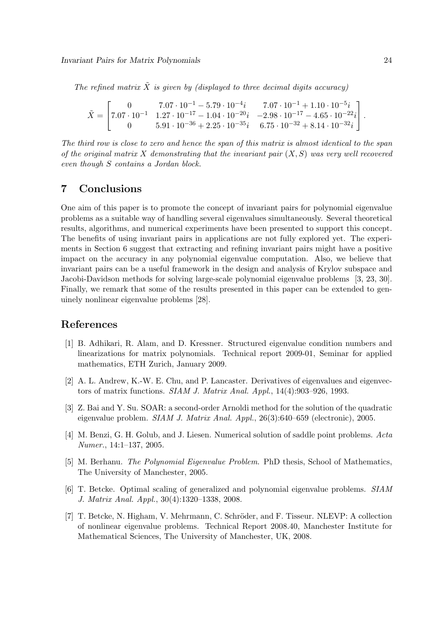The refined matrix  $\tilde{X}$  is given by (displayed to three decimal digits accuracy)

$$
\tilde{X} = \begin{bmatrix} 0 & 7.07 \cdot 10^{-1} - 5.79 \cdot 10^{-4} i & 7.07 \cdot 10^{-1} + 1.10 \cdot 10^{-5} i \\ 7.07 \cdot 10^{-1} & 1.27 \cdot 10^{-17} - 1.04 \cdot 10^{-20} i & -2.98 \cdot 10^{-17} - 4.65 \cdot 10^{-22} i \\ 0 & 5.91 \cdot 10^{-36} + 2.25 \cdot 10^{-35} i & 6.75 \cdot 10^{-32} + 8.14 \cdot 10^{-32} i \end{bmatrix}.
$$

*The third row is close to zero and hence the span of this matrix is almost identical to the span of the original matrix* X *demonstrating that the invariant pair* (X, S) *was very well recovered even though* S *contains a Jordan block.*

## 7 Conclusions

One aim of this paper is to promote the concept of invariant pairs for polynomial eigenvalue problems as a suitable way of handling several eigenvalues simultaneously. Several theoretical results, algorithms, and numerical experiments have been presented to support this concept. The benefits of using invariant pairs in applications are not fully explored yet. The experiments in Section 6 suggest that extracting and refining invariant pairs might have a positive impact on the accuracy in any polynomial eigenvalue computation. Also, we believe that invariant pairs can be a useful framework in the design and analysis of Krylov subspace and Jacobi-Davidson methods for solving large-scale polynomial eigenvalue problems [3, 23, 30]. Finally, we remark that some of the results presented in this paper can be extended to genuinely nonlinear eigenvalue problems [28].

## References

- [1] B. Adhikari, R. Alam, and D. Kressner. Structured eigenvalue condition numbers and linearizations for matrix polynomials. Technical report 2009-01, Seminar for applied mathematics, ETH Zurich, January 2009.
- [2] A. L. Andrew, K.-W. E. Chu, and P. Lancaster. Derivatives of eigenvalues and eigenvectors of matrix functions. *SIAM J. Matrix Anal. Appl.*, 14(4):903–926, 1993.
- [3] Z. Bai and Y. Su. SOAR: a second-order Arnoldi method for the solution of the quadratic eigenvalue problem. *SIAM J. Matrix Anal. Appl.*, 26(3):640–659 (electronic), 2005.
- [4] M. Benzi, G. H. Golub, and J. Liesen. Numerical solution of saddle point problems. *Acta Numer.*, 14:1–137, 2005.
- [5] M. Berhanu. *The Polynomial Eigenvalue Problem*. PhD thesis, School of Mathematics, The University of Manchester, 2005.
- [6] T. Betcke. Optimal scaling of generalized and polynomial eigenvalue problems. *SIAM J. Matrix Anal. Appl.*, 30(4):1320–1338, 2008.
- [7] T. Betcke, N. Higham, V. Mehrmann, C. Schröder, and F. Tisseur. NLEVP: A collection of nonlinear eigenvalue problems. Technical Report 2008.40, Manchester Institute for Mathematical Sciences, The University of Manchester, UK, 2008.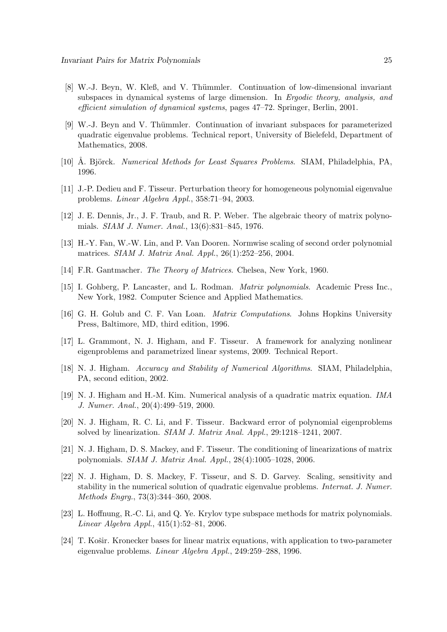- [8] W.-J. Beyn, W. Kleß, and V. Thümmler. Continuation of low-dimensional invariant subspaces in dynamical systems of large dimension. In *Ergodic theory, analysis, and efficient simulation of dynamical systems*, pages 47–72. Springer, Berlin, 2001.
- [9] W.-J. Beyn and V. Thümmler. Continuation of invariant subspaces for parameterized quadratic eigenvalue problems. Technical report, University of Bielefeld, Department of Mathematics, 2008.
- [10] Å. Björck. *Numerical Methods for Least Squares Problems*. SIAM, Philadelphia, PA, 1996.
- [11] J.-P. Dedieu and F. Tisseur. Perturbation theory for homogeneous polynomial eigenvalue problems. *Linear Algebra Appl.*, 358:71–94, 2003.
- [12] J. E. Dennis, Jr., J. F. Traub, and R. P. Weber. The algebraic theory of matrix polynomials. *SIAM J. Numer. Anal.*, 13(6):831–845, 1976.
- [13] H.-Y. Fan, W.-W. Lin, and P. Van Dooren. Normwise scaling of second order polynomial matrices. *SIAM J. Matrix Anal. Appl.*, 26(1):252–256, 2004.
- [14] F.R. Gantmacher. *The Theory of Matrices*. Chelsea, New York, 1960.
- [15] I. Gohberg, P. Lancaster, and L. Rodman. *Matrix polynomials*. Academic Press Inc., New York, 1982. Computer Science and Applied Mathematics.
- [16] G. H. Golub and C. F. Van Loan. *Matrix Computations*. Johns Hopkins University Press, Baltimore, MD, third edition, 1996.
- [17] L. Grammont, N. J. Higham, and F. Tisseur. A framework for analyzing nonlinear eigenproblems and parametrized linear systems, 2009. Technical Report.
- [18] N. J. Higham. *Accuracy and Stability of Numerical Algorithms*. SIAM, Philadelphia, PA, second edition, 2002.
- [19] N. J. Higham and H.-M. Kim. Numerical analysis of a quadratic matrix equation. *IMA J. Numer. Anal.*, 20(4):499–519, 2000.
- [20] N. J. Higham, R. C. Li, and F. Tisseur. Backward error of polynomial eigenproblems solved by linearization. *SIAM J. Matrix Anal. Appl.*, 29:1218–1241, 2007.
- [21] N. J. Higham, D. S. Mackey, and F. Tisseur. The conditioning of linearizations of matrix polynomials. *SIAM J. Matrix Anal. Appl.*, 28(4):1005–1028, 2006.
- [22] N. J. Higham, D. S. Mackey, F. Tisseur, and S. D. Garvey. Scaling, sensitivity and stability in the numerical solution of quadratic eigenvalue problems. *Internat. J. Numer. Methods Engrg.*, 73(3):344–360, 2008.
- [23] L. Hoffnung, R.-C. Li, and Q. Ye. Krylov type subspace methods for matrix polynomials. *Linear Algebra Appl.*, 415(1):52–81, 2006.
- [24] T. Košir. Kronecker bases for linear matrix equations, with application to two-parameter eigenvalue problems. *Linear Algebra Appl.*, 249:259–288, 1996.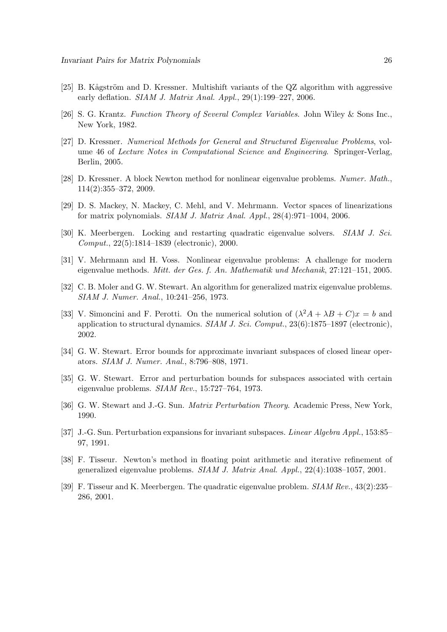- $[25]$  B. Kågström and D. Kressner. Multishift variants of the QZ algorithm with aggressive early deflation. *SIAM J. Matrix Anal. Appl.*, 29(1):199–227, 2006.
- [26] S. G. Krantz. *Function Theory of Several Complex Variables*. John Wiley & Sons Inc., New York, 1982.
- [27] D. Kressner. *Numerical Methods for General and Structured Eigenvalue Problems*, volume 46 of *Lecture Notes in Computational Science and Engineering*. Springer-Verlag, Berlin, 2005.
- [28] D. Kressner. A block Newton method for nonlinear eigenvalue problems. *Numer. Math.*, 114(2):355–372, 2009.
- [29] D. S. Mackey, N. Mackey, C. Mehl, and V. Mehrmann. Vector spaces of linearizations for matrix polynomials. *SIAM J. Matrix Anal. Appl.*, 28(4):971–1004, 2006.
- [30] K. Meerbergen. Locking and restarting quadratic eigenvalue solvers. *SIAM J. Sci. Comput.*, 22(5):1814–1839 (electronic), 2000.
- [31] V. Mehrmann and H. Voss. Nonlinear eigenvalue problems: A challenge for modern eigenvalue methods. *Mitt. der Ges. f. An. Mathematik und Mechanik*, 27:121–151, 2005.
- [32] C. B. Moler and G. W. Stewart. An algorithm for generalized matrix eigenvalue problems. *SIAM J. Numer. Anal.*, 10:241–256, 1973.
- [33] V. Simoncini and F. Perotti. On the numerical solution of  $(\lambda^2 A + \lambda B + C)x = b$  and application to structural dynamics. *SIAM J. Sci. Comput.*, 23(6):1875–1897 (electronic), 2002.
- [34] G. W. Stewart. Error bounds for approximate invariant subspaces of closed linear operators. *SIAM J. Numer. Anal.*, 8:796–808, 1971.
- [35] G. W. Stewart. Error and perturbation bounds for subspaces associated with certain eigenvalue problems. *SIAM Rev.*, 15:727–764, 1973.
- [36] G. W. Stewart and J.-G. Sun. *Matrix Perturbation Theory*. Academic Press, New York, 1990.
- [37] J.-G. Sun. Perturbation expansions for invariant subspaces. *Linear Algebra Appl.*, 153:85– 97, 1991.
- [38] F. Tisseur. Newton's method in floating point arithmetic and iterative refinement of generalized eigenvalue problems. *SIAM J. Matrix Anal. Appl.*, 22(4):1038–1057, 2001.
- [39] F. Tisseur and K. Meerbergen. The quadratic eigenvalue problem. *SIAM Rev.*, 43(2):235– 286, 2001.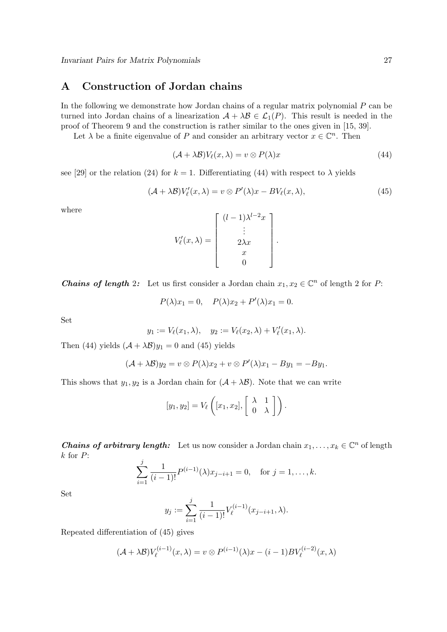## A Construction of Jordan chains

In the following we demonstrate how Jordan chains of a regular matrix polynomial  $P$  can be turned into Jordan chains of a linearization  $A + \lambda B \in \mathcal{L}_1(P)$ . This result is needed in the proof of Theorem 9 and the construction is rather similar to the ones given in [15, 39].

Let  $\lambda$  be a finite eigenvalue of P and consider an arbitrary vector  $x \in \mathbb{C}^n$ . Then

$$
(\mathcal{A} + \lambda \mathcal{B})V_{\ell}(x, \lambda) = v \otimes P(\lambda)x \tag{44}
$$

see [29] or the relation (24) for  $k = 1$ . Differentiating (44) with respect to  $\lambda$  yields

$$
(\mathcal{A} + \lambda \mathcal{B})V'_{\ell}(x, \lambda) = v \otimes P'(\lambda)x - BV_{\ell}(x, \lambda), \tag{45}
$$

where

$$
V'_{\ell}(x,\lambda) = \begin{bmatrix} (l-1)\lambda^{l-2}x \\ \vdots \\ 2\lambda x \\ x \\ 0 \end{bmatrix}.
$$

**Chains of length 2:** Let us first consider a Jordan chain  $x_1, x_2 \in \mathbb{C}^n$  of length 2 for P:

$$
P(\lambda)x_1 = 0, \quad P(\lambda)x_2 + P'(\lambda)x_1 = 0.
$$

Set

$$
y_1 := V_{\ell}(x_1, \lambda), \quad y_2 := V_{\ell}(x_2, \lambda) + V'_{\ell}(x_1, \lambda).
$$

Then (44) yields  $(\mathcal{A} + \lambda \mathcal{B})y_1 = 0$  and (45) yields

$$
(\mathcal{A} + \lambda \mathcal{B})y_2 = v \otimes P(\lambda)x_2 + v \otimes P'(\lambda)x_1 - By_1 = -By_1.
$$

This shows that  $y_1, y_2$  is a Jordan chain for  $(A + \lambda B)$ . Note that we can write

$$
[y_1, y_2] = V_{\ell} \left( [x_1, x_2], \begin{bmatrix} \lambda & 1 \\ 0 & \lambda \end{bmatrix} \right).
$$

**Chains of arbitrary length:** Let us now consider a Jordan chain  $x_1, \ldots, x_k \in \mathbb{C}^n$  of length  $k$  for  $P$ :

$$
\sum_{i=1}^{j} \frac{1}{(i-1)!} P^{(i-1)}(\lambda) x_{j-i+1} = 0, \text{ for } j = 1, \dots, k.
$$

Set

$$
y_j := \sum_{i=1}^j \frac{1}{(i-1)!} V_{\ell}^{(i-1)}(x_{j-i+1}, \lambda).
$$

Repeated differentiation of (45) gives

$$
(\mathcal{A} + \lambda \mathcal{B})V_{\ell}^{(i-1)}(x,\lambda) = v \otimes P^{(i-1)}(\lambda)x - (i-1)BV_{\ell}^{(i-2)}(x,\lambda)
$$